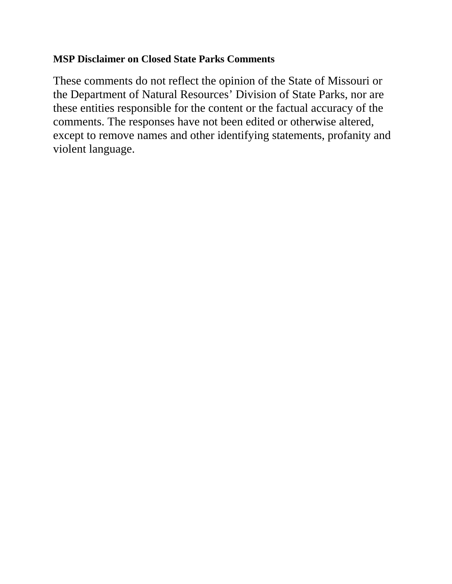# **MSP Disclaimer on Closed State Parks Comments**

These comments do not reflect the opinion of the State of Missouri or the Department of Natural Resources' Division of State Parks, nor are these entities responsible for the content or the factual accuracy of the comments. The responses have not been edited or otherwise altered, except to remove names and other identifying statements, profanity and violent language.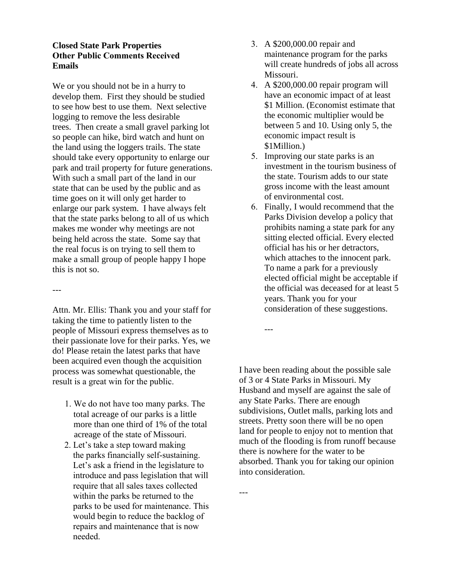# **Closed State Park Properties Other Public Comments Received Emails**

We or you should not be in a hurry to develop them. First they should be studied to see how best to use them. Next selective logging to remove the less desirable trees. Then create a small gravel parking lot so people can hike, bird watch and hunt on the land using the loggers trails. The state should take every opportunity to enlarge our park and trail property for future generations. With such a small part of the land in our state that can be used by the public and as time goes on it will only get harder to enlarge our park system. I have always felt that the state parks belong to all of us which makes me wonder why meetings are not being held across the state. Some say that the real focus is on trying to sell them to make a small group of people happy I hope this is not so.

---

Attn. Mr. Ellis: Thank you and your staff for taking the time to patiently listen to the people of Missouri express themselves as to their passionate love for their parks. Yes, we do! Please retain the latest parks that have been acquired even though the acquisition process was somewhat questionable, the result is a great win for the public.

- 1. We do not have too many parks. The total acreage of our parks is a little more than one third of 1% of the total acreage of the state of Missouri.
- 2. Let's take a step toward making the parks financially self-sustaining. Let's ask a friend in the legislature to introduce and pass legislation that will require that all sales taxes collected within the parks be returned to the parks to be used for maintenance. This would begin to reduce the backlog of repairs and maintenance that is now needed.
- 3. A \$200,000.00 repair and maintenance program for the parks will create hundreds of jobs all across Missouri.
- 4. A \$200,000.00 repair program will have an economic impact of at least \$1 Million. (Economist estimate that the economic multiplier would be between 5 and 10. Using only 5, the economic impact result is \$1Million.)
- 5. Improving our state parks is an investment in the tourism business of the state. Tourism adds to our state gross income with the least amount of environmental cost.
- 6. Finally, I would recommend that the Parks Division develop a policy that prohibits naming a state park for any sitting elected official. Every elected official has his or her detractors, which attaches to the innocent park. To name a park for a previously elected official might be acceptable if the official was deceased for at least 5 years. Thank you for your consideration of these suggestions.

I have been reading about the possible sale of 3 or 4 State Parks in Missouri. My Husband and myself are against the sale of any State Parks. There are enough subdivisions, Outlet malls, parking lots and streets. Pretty soon there will be no open land for people to enjoy not to mention that much of the flooding is from runoff because there is nowhere for the water to be absorbed. Thank you for taking our opinion into consideration.

---

---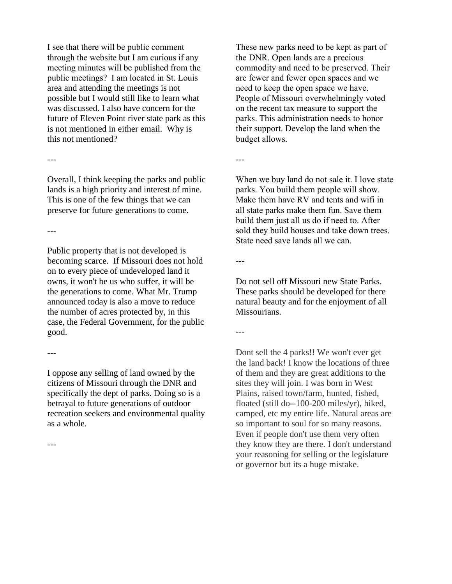I see that there will be public comment through the website but I am curious if any meeting minutes will be published from the public meetings? I am located in St. Louis area and attending the meetings is not possible but I would still like to learn what was discussed. I also have concern for the future of Eleven Point river state park as this is not mentioned in either email. Why is this not mentioned?

---

Overall, I think keeping the parks and public lands is a high priority and interest of mine. This is one of the few things that we can preserve for future generations to come.

---

Public property that is not developed is becoming scarce. If Missouri does not hold on to every piece of undeveloped land it owns, it won't be us who suffer, it will be the generations to come. What Mr. Trump announced today is also a move to reduce the number of acres protected by, in this case, the Federal Government, for the public good.

---

I oppose any selling of land owned by the citizens of Missouri through the DNR and specifically the dept of parks. Doing so is a betrayal to future generations of outdoor recreation seekers and environmental quality as a whole.

---

These new parks need to be kept as part of the DNR. Open lands are a precious commodity and need to be preserved. Their are fewer and fewer open spaces and we need to keep the open space we have. People of Missouri overwhelmingly voted on the recent tax measure to support the parks. This administration needs to honor their support. Develop the land when the budget allows.

---

When we buy land do not sale it. I love state parks. You build them people will show. Make them have RV and tents and wifi in all state parks make them fun. Save them build them just all us do if need to. After sold they build houses and take down trees. State need save lands all we can.

Do not sell off Missouri new State Parks. These parks should be developed for there natural beauty and for the enjoyment of all Missourians.

---

---

Dont sell the 4 parks!! We won't ever get the land back! I know the locations of three of them and they are great additions to the sites they will join. I was born in West Plains, raised town/farm, hunted, fished, floated (still do--100-200 miles/yr), hiked, camped, etc my entire life. Natural areas are so important to soul for so many reasons. Even if people don't use them very often they know they are there. I don't understand your reasoning for selling or the legislature or governor but its a huge mistake.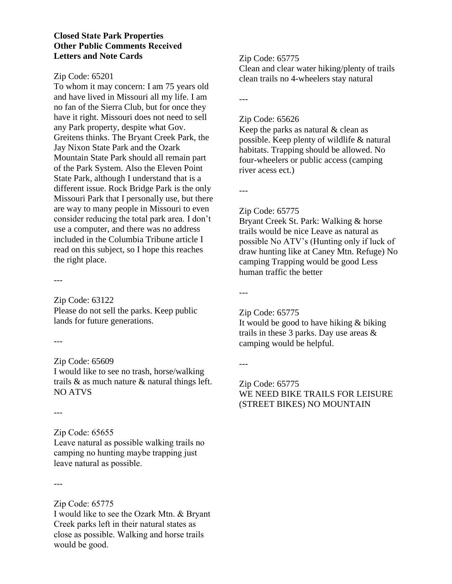### **Closed State Park Properties Other Public Comments Received Letters and Note Cards**

#### Zip Code: 65201

To whom it may concern: I am 75 years old and have lived in Missouri all my life. I am no fan of the Sierra Club, but for once they have it right. Missouri does not need to sell any Park property, despite what Gov. Greitens thinks. The Bryant Creek Park, the Jay Nixon State Park and the Ozark Mountain State Park should all remain part of the Park System. Also the Eleven Point State Park, although I understand that is a different issue. Rock Bridge Park is the only Missouri Park that I personally use, but there are way to many people in Missouri to even consider reducing the total park area. I don't use a computer, and there was no address included in the Columbia Tribune article I read on this subject, so I hope this reaches the right place.

---

Zip Code: 63122 Please do not sell the parks. Keep public lands for future generations.

---

### Zip Code: 65609

I would like to see no trash, horse/walking trails & as much nature & natural things left. NO ATVS

---

# Zip Code: 65655

Leave natural as possible walking trails no camping no hunting maybe trapping just leave natural as possible.

---

Zip Code: 65775 I would like to see the Ozark Mtn. & Bryant Creek parks left in their natural states as close as possible. Walking and horse trails would be good.

# Zip Code: 65775

Clean and clear water hiking/plenty of trails clean trails no 4-wheelers stay natural

---

#### Zip Code: 65626

Keep the parks as natural  $&$  clean as possible. Keep plenty of wildlife & natural habitats. Trapping should be allowed. No four-wheelers or public access (camping river acess ect.)

---

### Zip Code: 65775

Bryant Creek St. Park: Walking & horse trails would be nice Leave as natural as possible No ATV's (Hunting only if luck of draw hunting like at Caney Mtn. Refuge) No camping Trapping would be good Less human traffic the better

---

### Zip Code: 65775

It would be good to have hiking & biking trails in these 3 parks. Day use areas & camping would be helpful.

---

# Zip Code: 65775 WE NEED BIKE TRAILS FOR LEISURE (STREET BIKES) NO MOUNTAIN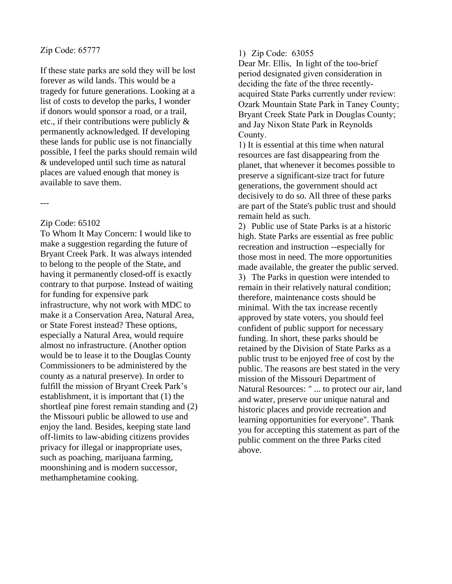#### Zip Code: 65777

If these state parks are sold they will be lost forever as wild lands. This would be a tragedy for future generations. Looking at a list of costs to develop the parks, I wonder if donors would sponsor a road, or a trail, etc., if their contributions were publicly & permanently acknowledged. If developing these lands for public use is not financially possible, I feel the parks should remain wild & undeveloped until such time as natural places are valued enough that money is available to save them.

---

#### Zip Code: 65102

To Whom It May Concern: I would like to make a suggestion regarding the future of Bryant Creek Park. It was always intended to belong to the people of the State, and having it permanently closed-off is exactly contrary to that purpose. Instead of waiting for funding for expensive park infrastructure, why not work with MDC to make it a Conservation Area, Natural Area, or State Forest instead? These options, especially a Natural Area, would require almost no infrastructure. (Another option would be to lease it to the Douglas County Commissioners to be administered by the county as a natural preserve). In order to fulfill the mission of Bryant Creek Park's establishment, it is important that (1) the shortleaf pine forest remain standing and (2) the Missouri public be allowed to use and enjoy the land. Besides, keeping state land off-limits to law-abiding citizens provides privacy for illegal or inappropriate uses, such as poaching, marijuana farming, moonshining and is modern successor, methamphetamine cooking.

#### 1) Zip Code: 63055

Dear Mr. Ellis, In light of the too-brief period designated given consideration in deciding the fate of the three recentlyacquired State Parks currently under review: Ozark Mountain State Park in Taney County; Bryant Creek State Park in Douglas County; and Jay Nixon State Park in Reynolds County.

1) It is essential at this time when natural resources are fast disappearing from the planet, that whenever it becomes possible to preserve a significant-size tract for future generations, the government should act decisively to do so. All three of these parks are part of the State's public trust and should remain held as such.

2) Public use of State Parks is at a historic high. State Parks are essential as free public recreation and instruction --especially for those most in need. The more opportunities made available, the greater the public served. 3) The Parks in question were intended to remain in their relatively natural condition; therefore, maintenance costs should be minimal. With the tax increase recently approved by state voters, you should feel confident of public support for necessary funding. In short, these parks should be retained by the Division of State Parks as a public trust to be enjoyed free of cost by the public. The reasons are best stated in the very mission of the Missouri Department of Natural Resources: " ... to protect our air, land and water, preserve our unique natural and historic places and provide recreation and learning opportunities for everyone". Thank you for accepting this statement as part of the public comment on the three Parks cited above.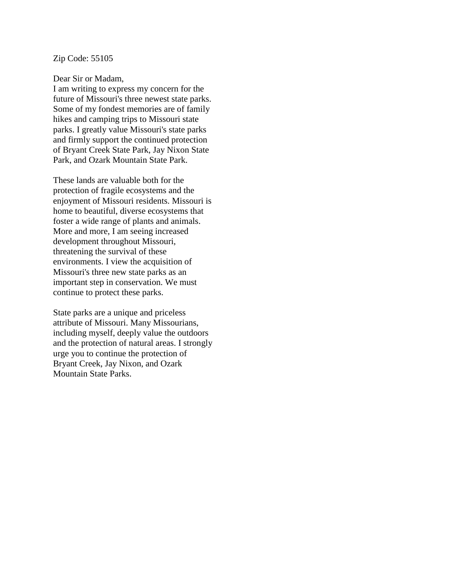#### Zip Code: 55105

#### Dear Sir or Madam,

I am writing to express my concern for the future of Missouri's three newest state parks. Some of my fondest memories are of family hikes and camping trips to Missouri state parks. I greatly value Missouri's state parks and firmly support the continued protection of Bryant Creek State Park, Jay Nixon State Park, and Ozark Mountain State Park.

These lands are valuable both for the protection of fragile ecosystems and the enjoyment of Missouri residents. Missouri is home to beautiful, diverse ecosystems that foster a wide range of plants and animals. More and more, I am seeing increased development throughout Missouri, threatening the survival of these environments. I view the acquisition of Missouri's three new state parks as an important step in conservation. We must continue to protect these parks.

State parks are a unique and priceless attribute of Missouri. Many Missourians, including myself, deeply value the outdoors and the protection of natural areas. I strongly urge you to continue the protection of Bryant Creek, Jay Nixon, and Ozark Mountain State Parks.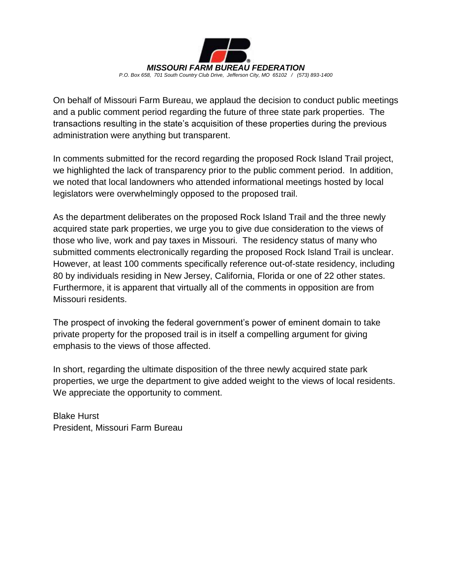

On behalf of Missouri Farm Bureau, we applaud the decision to conduct public meetings and a public comment period regarding the future of three state park properties. The transactions resulting in the state's acquisition of these properties during the previous administration were anything but transparent.

In comments submitted for the record regarding the proposed Rock Island Trail project, we highlighted the lack of transparency prior to the public comment period. In addition, we noted that local landowners who attended informational meetings hosted by local legislators were overwhelmingly opposed to the proposed trail.

As the department deliberates on the proposed Rock Island Trail and the three newly acquired state park properties, we urge you to give due consideration to the views of those who live, work and pay taxes in Missouri. The residency status of many who submitted comments electronically regarding the proposed Rock Island Trail is unclear. However, at least 100 comments specifically reference out-of-state residency, including 80 by individuals residing in New Jersey, California, Florida or one of 22 other states. Furthermore, it is apparent that virtually all of the comments in opposition are from Missouri residents.

The prospect of invoking the federal government's power of eminent domain to take private property for the proposed trail is in itself a compelling argument for giving emphasis to the views of those affected.

In short, regarding the ultimate disposition of the three newly acquired state park properties, we urge the department to give added weight to the views of local residents. We appreciate the opportunity to comment.

Blake Hurst President, Missouri Farm Bureau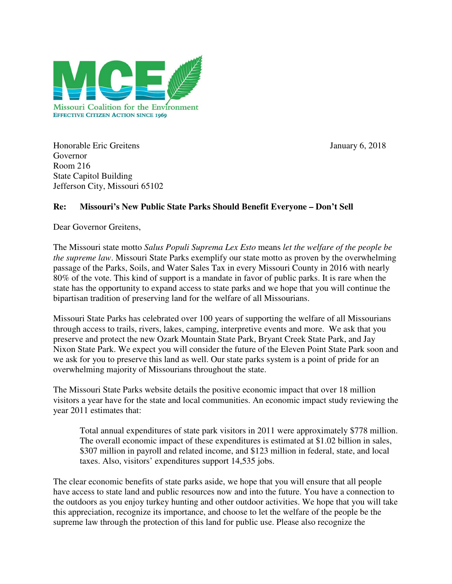

Honorable Eric Greitens January 6, 2018 Governor Room 216 State Capitol Building Jefferson City, Missouri 65102

# **Re: Missouri's New Public State Parks Should Benefit Everyone – Don't Sell**

Dear Governor Greitens,

The Missouri state motto *Salus Populi Suprema Lex Esto* means *let the welfare of the people be the supreme law*. Missouri State Parks exemplify our state motto as proven by the overwhelming passage of the Parks, Soils, and Water Sales Tax in every Missouri County in 2016 with nearly 80% of the vote. This kind of support is a mandate in favor of public parks. It is rare when the state has the opportunity to expand access to state parks and we hope that you will continue the bipartisan tradition of preserving land for the welfare of all Missourians.

Missouri State Parks has celebrated over 100 years of supporting the welfare of all Missourians through access to trails, rivers, lakes, camping, interpretive events and more. We ask that you preserve and protect the new Ozark Mountain State Park, Bryant Creek State Park, and Jay Nixon State Park. We expect you will consider the future of the Eleven Point State Park soon and we ask for you to preserve this land as well. Our state parks system is a point of pride for an overwhelming majority of Missourians throughout the state.

The Missouri State Parks website details the positive economic impact that over 18 million visitors a year have for the state and local communities. An economic impact study reviewing the year 2011 estimates that:

Total annual expenditures of state park visitors in 2011 were approximately \$778 million. The overall economic impact of these expenditures is estimated at \$1.02 billion in sales, \$307 million in payroll and related income, and \$123 million in federal, state, and local taxes. Also, visitors' expenditures support 14,535 jobs.

The clear economic benefits of state parks aside, we hope that you will ensure that all people have access to state land and public resources now and into the future. You have a connection to the outdoors as you enjoy turkey hunting and other outdoor activities. We hope that you will take this appreciation, recognize its importance, and choose to let the welfare of the people be the supreme law through the protection of this land for public use. Please also recognize the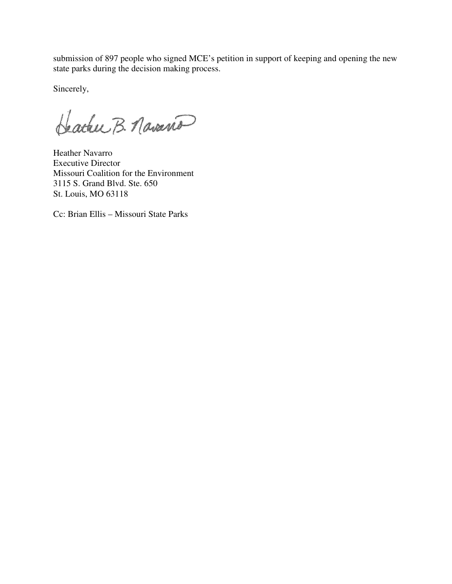submission of 897 people who signed MCE's petition in support of keeping and opening the new state parks during the decision making process.

Sincerely,

Hacker B. Navaria

Heather Navarro Executive Director Missouri Coalition for the Environment 3115 S. Grand Blvd. Ste. 650 St. Louis, MO 63118

Cc: Brian Ellis – Missouri State Parks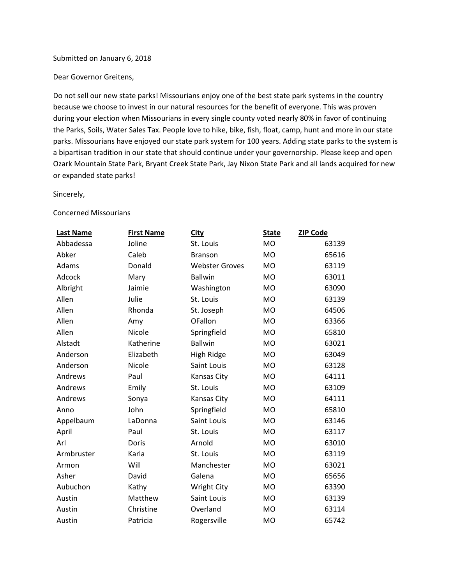#### Submitted on January 6, 2018

Dear Governor Greitens,

Do not sell our new state parks! Missourians enjoy one of the best state park systems in the country because we choose to invest in our natural resources for the benefit of everyone. This was proven during your election when Missourians in every single county voted nearly 80% in favor of continuing the Parks, Soils, Water Sales Tax. People love to hike, bike, fish, float, camp, hunt and more in our state parks. Missourians have enjoyed our state park system for 100 years. Adding state parks to the system is a bipartisan tradition in our state that should continue under your governorship. Please keep and open Ozark Mountain State Park, Bryant Creek State Park, Jay Nixon State Park and all lands acquired for new or expanded state parks!

Sincerely,

#### Concerned Missourians

| Last Name  | <b>First Name</b> | <b>City</b>           | <b>State</b>   | <b>ZIP Code</b> |
|------------|-------------------|-----------------------|----------------|-----------------|
| Abbadessa  | Joline            | St. Louis             | <b>MO</b>      | 63139           |
| Abker      | Caleb             | <b>Branson</b>        | <b>MO</b>      | 65616           |
| Adams      | Donald            | <b>Webster Groves</b> | <b>MO</b>      | 63119           |
| Adcock     | Mary              | <b>Ballwin</b>        | <b>MO</b>      | 63011           |
| Albright   | Jaimie            | Washington            | <b>MO</b>      | 63090           |
| Allen      | Julie             | St. Louis             | M <sub>O</sub> | 63139           |
| Allen      | Rhonda            | St. Joseph            | <b>MO</b>      | 64506           |
| Allen      | Amy               | OFallon               | <b>MO</b>      | 63366           |
| Allen      | Nicole            | Springfield           | <b>MO</b>      | 65810           |
| Alstadt    | Katherine         | <b>Ballwin</b>        | <b>MO</b>      | 63021           |
| Anderson   | Elizabeth         | High Ridge            | M <sub>O</sub> | 63049           |
| Anderson   | Nicole            | Saint Louis           | <b>MO</b>      | 63128           |
| Andrews    | Paul              | Kansas City           | <b>MO</b>      | 64111           |
| Andrews    | Emily             | St. Louis             | <b>MO</b>      | 63109           |
| Andrews    | Sonya             | Kansas City           | <b>MO</b>      | 64111           |
| Anno       | John              | Springfield           | <b>MO</b>      | 65810           |
| Appelbaum  | LaDonna           | Saint Louis           | <b>MO</b>      | 63146           |
| April      | Paul              | St. Louis             | <b>MO</b>      | 63117           |
| Arl        | Doris             | Arnold                | <b>MO</b>      | 63010           |
| Armbruster | Karla             | St. Louis             | <b>MO</b>      | 63119           |
| Armon      | Will              | Manchester            | <b>MO</b>      | 63021           |
| Asher      | David             | Galena                | <b>MO</b>      | 65656           |
| Aubuchon   | Kathy             | <b>Wright City</b>    | <b>MO</b>      | 63390           |
| Austin     | Matthew           | Saint Louis           | <b>MO</b>      | 63139           |
| Austin     | Christine         | Overland              | M <sub>O</sub> | 63114           |
| Austin     | Patricia          | Rogersville           | <b>MO</b>      | 65742           |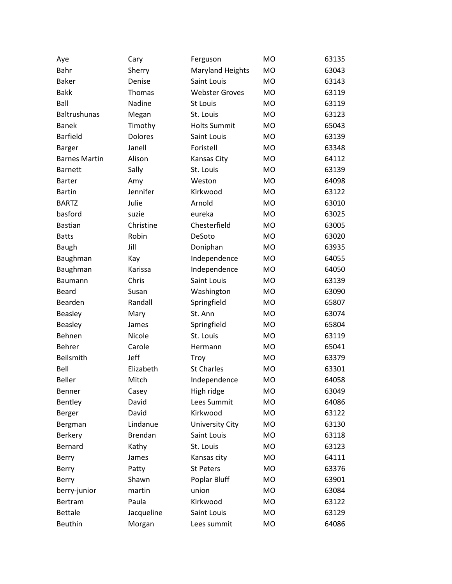| Aye                  | Cary           | Ferguson                | MO        | 63135 |
|----------------------|----------------|-------------------------|-----------|-------|
| Bahr                 | Sherry         | <b>Maryland Heights</b> | <b>MO</b> | 63043 |
| <b>Baker</b>         | Denise         | Saint Louis             | MO        | 63143 |
| <b>Bakk</b>          | Thomas         | <b>Webster Groves</b>   | <b>MO</b> | 63119 |
| Ball                 | Nadine         | St Louis                | MO        | 63119 |
| Baltrushunas         | Megan          | St. Louis               | <b>MO</b> | 63123 |
| <b>Banek</b>         | Timothy        | <b>Holts Summit</b>     | MO        | 65043 |
| <b>Barfield</b>      | <b>Dolores</b> | Saint Louis             | <b>MO</b> | 63139 |
| <b>Barger</b>        | Janell         | Foristell               | <b>MO</b> | 63348 |
| <b>Barnes Martin</b> | Alison         | Kansas City             | MO        | 64112 |
| <b>Barnett</b>       | Sally          | St. Louis               | MO        | 63139 |
| <b>Barter</b>        | Amy            | Weston                  | <b>MO</b> | 64098 |
| <b>Bartin</b>        | Jennifer       | Kirkwood                | <b>MO</b> | 63122 |
| <b>BARTZ</b>         | Julie          | Arnold                  | <b>MO</b> | 63010 |
| basford              | suzie          | eureka                  | <b>MO</b> | 63025 |
| <b>Bastian</b>       | Christine      | Chesterfield            | <b>MO</b> | 63005 |
| <b>Batts</b>         | Robin          | DeSoto                  | MO        | 63020 |
| Baugh                | Jill           | Doniphan                | MO        | 63935 |
| Baughman             | Kay            | Independence            | MO        | 64055 |
| Baughman             | Karissa        | Independence            | <b>MO</b> | 64050 |
| Baumann              | Chris          | Saint Louis             | MO        | 63139 |
| Beard                | Susan          | Washington              | MO        | 63090 |
| Bearden              | Randall        | Springfield             | MO        | 65807 |
| <b>Beasley</b>       | Mary           | St. Ann                 | <b>MO</b> | 63074 |
| <b>Beasley</b>       | James          | Springfield             | <b>MO</b> | 65804 |
| Behnen               | Nicole         | St. Louis               | MO        | 63119 |
| Behrer               | Carole         | Hermann                 | MO        | 65041 |
| Beilsmith            | Jeff           | Troy                    | MO.       | 63379 |
| Bell                 | Elizabeth      | <b>St Charles</b>       | MO        | 63301 |
| <b>Beller</b>        | Mitch          | Independence            | <b>MO</b> | 64058 |
| Benner               | Casey          | High ridge              | MO        | 63049 |
| Bentley              | David          | Lees Summit             | <b>MO</b> | 64086 |
| Berger               | David          | Kirkwood                | MO        | 63122 |
| Bergman              | Lindanue       | <b>University City</b>  | <b>MO</b> | 63130 |
| Berkery              | Brendan        | Saint Louis             | MO        | 63118 |
| Bernard              | Kathy          | St. Louis               | <b>MO</b> | 63123 |
| Berry                | James          | Kansas city             | MO        | 64111 |
| Berry                | Patty          | St Peters               | <b>MO</b> | 63376 |
| Berry                | Shawn          | Poplar Bluff            | MO        | 63901 |
| berry-junior         | martin         | union                   | <b>MO</b> | 63084 |
| Bertram              | Paula          | Kirkwood                | MO        | 63122 |
| <b>Bettale</b>       | Jacqueline     | Saint Louis             | <b>MO</b> | 63129 |
| <b>Beuthin</b>       | Morgan         | Lees summit             | MO        | 64086 |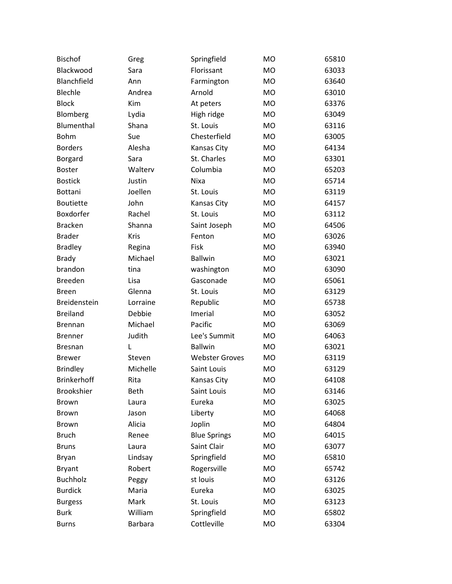| <b>Bischof</b>     | Greg           | Springfield           | <b>MO</b> | 65810 |
|--------------------|----------------|-----------------------|-----------|-------|
| Blackwood          | Sara           | Florissant            | <b>MO</b> | 63033 |
| Blanchfield        | Ann            | Farmington            | <b>MO</b> | 63640 |
| Blechle            | Andrea         | Arnold                | <b>MO</b> | 63010 |
| <b>Block</b>       | Kim            | At peters             | <b>MO</b> | 63376 |
| Blomberg           | Lydia          | High ridge            | <b>MO</b> | 63049 |
| Blumenthal         | Shana          | St. Louis             | <b>MO</b> | 63116 |
| <b>Bohm</b>        | Sue            | Chesterfield          | <b>MO</b> | 63005 |
| <b>Borders</b>     | Alesha         | Kansas City           | <b>MO</b> | 64134 |
| Borgard            | Sara           | St. Charles           | <b>MO</b> | 63301 |
| <b>Boster</b>      | Walterv        | Columbia              | <b>MO</b> | 65203 |
| <b>Bostick</b>     | Justin         | Nixa                  | <b>MO</b> | 65714 |
| Bottani            | Joellen        | St. Louis             | <b>MO</b> | 63119 |
| <b>Boutiette</b>   | John           | Kansas City           | <b>MO</b> | 64157 |
| Boxdorfer          | Rachel         | St. Louis             | <b>MO</b> | 63112 |
| <b>Bracken</b>     | Shanna         | Saint Joseph          | <b>MO</b> | 64506 |
| <b>Brader</b>      | Kris           | Fenton                | <b>MO</b> | 63026 |
| <b>Bradley</b>     | Regina         | Fisk                  | <b>MO</b> | 63940 |
| <b>Brady</b>       | Michael        | <b>Ballwin</b>        | <b>MO</b> | 63021 |
| brandon            | tina           | washington            | <b>MO</b> | 63090 |
| <b>Breeden</b>     | Lisa           | Gasconade             | <b>MO</b> | 65061 |
| <b>Breen</b>       | Glenna         | St. Louis             | <b>MO</b> | 63129 |
| Breidenstein       | Lorraine       | Republic              | <b>MO</b> | 65738 |
| <b>Breiland</b>    | Debbie         | Imerial               | <b>MO</b> | 63052 |
| <b>Brennan</b>     | Michael        | Pacific               | <b>MO</b> | 63069 |
| <b>Brenner</b>     | Judith         | Lee's Summit          | <b>MO</b> | 64063 |
| <b>Bresnan</b>     | L              | <b>Ballwin</b>        | <b>MO</b> | 63021 |
| <b>Brewer</b>      | Steven         | <b>Webster Groves</b> | <b>MO</b> | 63119 |
| <b>Brindley</b>    | Michelle       | Saint Louis           | <b>MO</b> | 63129 |
| <b>Brinkerhoff</b> | Rita           | Kansas City           | <b>MO</b> | 64108 |
| Brookshier         | Beth           | Saint Louis           | MO        | 63146 |
| Brown              | Laura          | Eureka                | <b>MO</b> | 63025 |
| <b>Brown</b>       | Jason          | Liberty               | <b>MO</b> | 64068 |
| <b>Brown</b>       | Alicia         | Joplin                | <b>MO</b> | 64804 |
| <b>Bruch</b>       | Renee          | <b>Blue Springs</b>   | <b>MO</b> | 64015 |
| <b>Bruns</b>       | Laura          | Saint Clair           | <b>MO</b> | 63077 |
| <b>Bryan</b>       | Lindsay        | Springfield           | <b>MO</b> | 65810 |
| <b>Bryant</b>      | Robert         | Rogersville           | <b>MO</b> | 65742 |
| <b>Buchholz</b>    | Peggy          | st louis              | <b>MO</b> | 63126 |
| <b>Burdick</b>     | Maria          | Eureka                | <b>MO</b> | 63025 |
| <b>Burgess</b>     | Mark           | St. Louis             | <b>MO</b> | 63123 |
| <b>Burk</b>        | William        | Springfield           | MO        | 65802 |
| <b>Burns</b>       | <b>Barbara</b> | Cottleville           | <b>MO</b> | 63304 |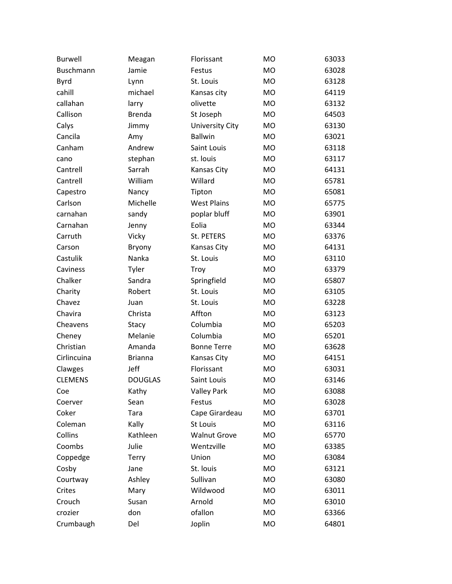| <b>Burwell</b> | Meagan         | Florissant             | <b>MO</b> | 63033 |
|----------------|----------------|------------------------|-----------|-------|
| Buschmann      | Jamie          | Festus                 | <b>MO</b> | 63028 |
| <b>Byrd</b>    | Lynn           | St. Louis              | <b>MO</b> | 63128 |
| cahill         | michael        | Kansas city            | <b>MO</b> | 64119 |
| callahan       | larry          | olivette               | <b>MO</b> | 63132 |
| Callison       | <b>Brenda</b>  | St Joseph              | <b>MO</b> | 64503 |
| Calys          | Jimmy          | <b>University City</b> | <b>MO</b> | 63130 |
| Cancila        | Amy            | <b>Ballwin</b>         | <b>MO</b> | 63021 |
| Canham         | Andrew         | Saint Louis            | <b>MO</b> | 63118 |
| cano           | stephan        | st. louis              | <b>MO</b> | 63117 |
| Cantrell       | Sarrah         | Kansas City            | <b>MO</b> | 64131 |
| Cantrell       | William        | Willard                | <b>MO</b> | 65781 |
| Capestro       | Nancy          | Tipton                 | <b>MO</b> | 65081 |
| Carlson        | Michelle       | <b>West Plains</b>     | <b>MO</b> | 65775 |
| carnahan       | sandy          | poplar bluff           | <b>MO</b> | 63901 |
| Carnahan       | Jenny          | Eolia                  | <b>MO</b> | 63344 |
| Carruth        | <b>Vicky</b>   | St. PETERS             | <b>MO</b> | 63376 |
| Carson         | Bryony         | Kansas City            | <b>MO</b> | 64131 |
| Castulik       | Nanka          | St. Louis              | <b>MO</b> | 63110 |
| Caviness       | Tyler          | Troy                   | <b>MO</b> | 63379 |
| Chalker        | Sandra         | Springfield            | <b>MO</b> | 65807 |
| Charity        | Robert         | St. Louis              | <b>MO</b> | 63105 |
| Chavez         | Juan           | St. Louis              | <b>MO</b> | 63228 |
| Chavira        | Christa        | Affton                 | <b>MO</b> | 63123 |
| Cheavens       | Stacy          | Columbia               | <b>MO</b> | 65203 |
| Cheney         | Melanie        | Columbia               | <b>MO</b> | 65201 |
| Christian      | Amanda         | <b>Bonne Terre</b>     | <b>MO</b> | 63628 |
| Cirlincuina    | <b>Brianna</b> | Kansas City            | <b>MO</b> | 64151 |
| Clawges        | Jeff           | Florissant             | <b>MO</b> | 63031 |
| <b>CLEMENS</b> | <b>DOUGLAS</b> | Saint Louis            | <b>MO</b> | 63146 |
| Coe            | Kathy          | <b>Valley Park</b>     | MO        | 63088 |
| Coerver        | Sean           | Festus                 | MO        | 63028 |
| Coker          | Tara           | Cape Girardeau         | <b>MO</b> | 63701 |
| Coleman        | Kally          | St Louis               | <b>MO</b> | 63116 |
| Collins        | Kathleen       | <b>Walnut Grove</b>    | <b>MO</b> | 65770 |
| Coombs         | Julie          | Wentzville             | <b>MO</b> | 63385 |
| Coppedge       | <b>Terry</b>   | Union                  | <b>MO</b> | 63084 |
| Cosby          | Jane           | St. Iouis              | <b>MO</b> | 63121 |
| Courtway       | Ashley         | Sullivan               | MO        | 63080 |
| Crites         | Mary           | Wildwood               | <b>MO</b> | 63011 |
| Crouch         | Susan          | Arnold                 | MO        | 63010 |
| crozier        | don            | ofallon                | MO        | 63366 |
| Crumbaugh      | Del            | Joplin                 | MO        | 64801 |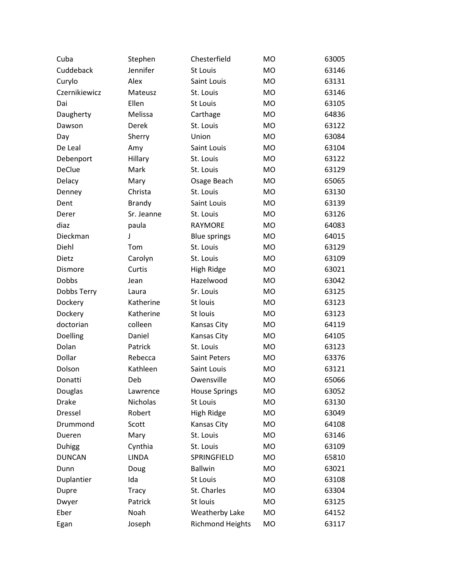| Cuba          | Stephen       | Chesterfield            | <b>MO</b> | 63005 |
|---------------|---------------|-------------------------|-----------|-------|
| Cuddeback     | Jennifer      | St Louis                | <b>MO</b> | 63146 |
| Curylo        | Alex          | Saint Louis             | <b>MO</b> | 63131 |
| Czernikiewicz | Mateusz       | St. Louis               | <b>MO</b> | 63146 |
| Dai           | Ellen         | St Louis                | <b>MO</b> | 63105 |
| Daugherty     | Melissa       | Carthage                | <b>MO</b> | 64836 |
| Dawson        | Derek         | St. Louis               | <b>MO</b> | 63122 |
| Day           | Sherry        | Union                   | <b>MO</b> | 63084 |
| De Leal       | Amy           | Saint Louis             | <b>MO</b> | 63104 |
| Debenport     | Hillary       | St. Louis               | <b>MO</b> | 63122 |
| <b>DeClue</b> | Mark          | St. Louis               | <b>MO</b> | 63129 |
| Delacy        | Mary          | Osage Beach             | <b>MO</b> | 65065 |
| Denney        | Christa       | St. Louis               | <b>MO</b> | 63130 |
| Dent          | <b>Brandy</b> | Saint Louis             | <b>MO</b> | 63139 |
| Derer         | Sr. Jeanne    | St. Louis               | <b>MO</b> | 63126 |
| diaz          | paula         | <b>RAYMORE</b>          | <b>MO</b> | 64083 |
| Dieckman      | J             | <b>Blue springs</b>     | <b>MO</b> | 64015 |
| Diehl         | Tom           | St. Louis               | <b>MO</b> | 63129 |
| Dietz         | Carolyn       | St. Louis               | <b>MO</b> | 63109 |
| Dismore       | Curtis        | High Ridge              | <b>MO</b> | 63021 |
| Dobbs         | Jean          | Hazelwood               | <b>MO</b> | 63042 |
| Dobbs Terry   | Laura         | Sr. Louis               | <b>MO</b> | 63125 |
| Dockery       | Katherine     | St louis                | <b>MO</b> | 63123 |
| Dockery       | Katherine     | St louis                | <b>MO</b> | 63123 |
| doctorian     | colleen       | Kansas City             | MO        | 64119 |
| Doelling      | Daniel        | Kansas City             | <b>MO</b> | 64105 |
| Dolan         | Patrick       | St. Louis               | <b>MO</b> | 63123 |
| Dollar        | Rebecca       | <b>Saint Peters</b>     | <b>MO</b> | 63376 |
| Dolson        | Kathleen      | Saint Louis             | <b>MO</b> | 63121 |
| Donatti       | Deb           | Owensville              | <b>MO</b> | 65066 |
| Douglas       | Lawrence      | <b>House Springs</b>    | MO        | 63052 |
| <b>Drake</b>  | Nicholas      | St Louis                | <b>MO</b> | 63130 |
| Dressel       | Robert        | High Ridge              | <b>MO</b> | 63049 |
| Drummond      | Scott         | Kansas City             | <b>MO</b> | 64108 |
| Dueren        | Mary          | St. Louis               | <b>MO</b> | 63146 |
| <b>Duhigg</b> | Cynthia       | St. Louis               | <b>MO</b> | 63109 |
| <b>DUNCAN</b> | <b>LINDA</b>  | SPRINGFIELD             | <b>MO</b> | 65810 |
| Dunn          | Doug          | <b>Ballwin</b>          | <b>MO</b> | 63021 |
| Duplantier    | Ida           | St Louis                | <b>MO</b> | 63108 |
| Dupre         | <b>Tracy</b>  | St. Charles             | <b>MO</b> | 63304 |
| Dwyer         | Patrick       | St louis                | <b>MO</b> | 63125 |
| Eber          | Noah          | <b>Weatherby Lake</b>   | <b>MO</b> | 64152 |
| Egan          | Joseph        | <b>Richmond Heights</b> | MO        | 63117 |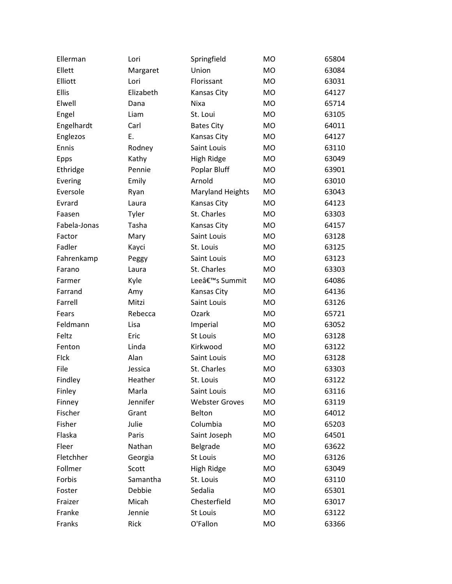| Ellerman     | Lori      | Springfield             | MO        | 65804 |
|--------------|-----------|-------------------------|-----------|-------|
| Ellett       | Margaret  | Union                   | <b>MO</b> | 63084 |
| Elliott      | Lori      | Florissant              | <b>MO</b> | 63031 |
| Ellis        | Elizabeth | Kansas City             | <b>MO</b> | 64127 |
| Elwell       | Dana      | Nixa                    | <b>MO</b> | 65714 |
| Engel        | Liam      | St. Loui                | <b>MO</b> | 63105 |
| Engelhardt   | Carl      | <b>Bates City</b>       | <b>MO</b> | 64011 |
| Englezos     | Ε.        | Kansas City             | <b>MO</b> | 64127 |
| Ennis        | Rodney    | Saint Louis             | <b>MO</b> | 63110 |
| Epps         | Kathy     | High Ridge              | <b>MO</b> | 63049 |
| Ethridge     | Pennie    | Poplar Bluff            | <b>MO</b> | 63901 |
| Evering      | Emily     | Arnold                  | <b>MO</b> | 63010 |
| Eversole     | Ryan      | <b>Maryland Heights</b> | MO        | 63043 |
| Evrard       | Laura     | Kansas City             | <b>MO</b> | 64123 |
| Faasen       | Tyler     | St. Charles             | <b>MO</b> | 63303 |
| Fabela-Jonas | Tasha     | Kansas City             | <b>MO</b> | 64157 |
| Factor       | Mary      | Saint Louis             | <b>MO</b> | 63128 |
| Fadler       | Kayci     | St. Louis               | <b>MO</b> | 63125 |
| Fahrenkamp   | Peggy     | Saint Louis             | <b>MO</b> | 63123 |
| Farano       | Laura     | St. Charles             | <b>MO</b> | 63303 |
| Farmer       | Kyle      | Lee's Summit            | MO        | 64086 |
| Farrand      | Amy       | Kansas City             | <b>MO</b> | 64136 |
| Farrell      | Mitzi     | Saint Louis             | <b>MO</b> | 63126 |
| Fears        | Rebecca   | Ozark                   | <b>MO</b> | 65721 |
| Feldmann     | Lisa      | Imperial                | MO        | 63052 |
| Feltz        | Eric      | St Louis                | <b>MO</b> | 63128 |
| Fenton       | Linda     | Kirkwood                | <b>MO</b> | 63122 |
| FIck         | Alan      | Saint Louis             | <b>MO</b> | 63128 |
| File         | Jessica   | St. Charles             | <b>MO</b> | 63303 |
| Findley      | Heather   | St. Louis               | <b>MO</b> | 63122 |
| Finley       | Marla     | Saint Louis             | MO        | 63116 |
| Finney       | Jennifer  | <b>Webster Groves</b>   | MO        | 63119 |
| Fischer      | Grant     | Belton                  | MO        | 64012 |
| Fisher       | Julie     | Columbia                | <b>MO</b> | 65203 |
| Flaska       | Paris     | Saint Joseph            | MO        | 64501 |
| Fleer        | Nathan    | Belgrade                | MO        | 63622 |
| Fletchher    | Georgia   | St Louis                | MO        | 63126 |
| Follmer      | Scott     | High Ridge              | MO        | 63049 |
| Forbis       | Samantha  | St. Louis               | MO        | 63110 |
| Foster       | Debbie    | Sedalia                 | MO        | 65301 |
| Fraizer      | Micah     | Chesterfield            | MO        | 63017 |
| Franke       | Jennie    | St Louis                | MO        | 63122 |
| Franks       | Rick      | O'Fallon                | MO        | 63366 |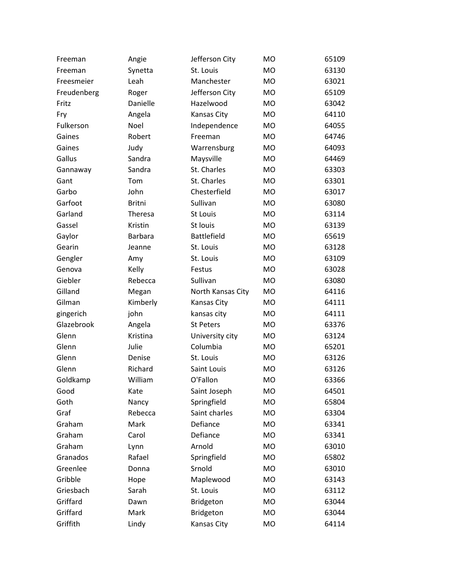| Freeman     | Angie          | Jefferson City     | MO        | 65109 |
|-------------|----------------|--------------------|-----------|-------|
| Freeman     | Synetta        | St. Louis          | <b>MO</b> | 63130 |
| Freesmeier  | Leah           | Manchester         | <b>MO</b> | 63021 |
| Freudenberg | Roger          | Jefferson City     | <b>MO</b> | 65109 |
| Fritz       | Danielle       | Hazelwood          | <b>MO</b> | 63042 |
| Fry         | Angela         | Kansas City        | <b>MO</b> | 64110 |
| Fulkerson   | Noel           | Independence       | <b>MO</b> | 64055 |
| Gaines      | Robert         | Freeman            | <b>MO</b> | 64746 |
| Gaines      | Judy           | Warrensburg        | <b>MO</b> | 64093 |
| Gallus      | Sandra         | Maysville          | <b>MO</b> | 64469 |
| Gannaway    | Sandra         | St. Charles        | <b>MO</b> | 63303 |
| Gant        | Tom            | St. Charles        | <b>MO</b> | 63301 |
| Garbo       | John           | Chesterfield       | <b>MO</b> | 63017 |
| Garfoot     | <b>Britni</b>  | Sullivan           | <b>MO</b> | 63080 |
| Garland     | Theresa        | <b>St Louis</b>    | <b>MO</b> | 63114 |
| Gassel      | Kristin        | St louis           | <b>MO</b> | 63139 |
| Gaylor      | <b>Barbara</b> | <b>Battlefield</b> | <b>MO</b> | 65619 |
| Gearin      | Jeanne         | St. Louis          | <b>MO</b> | 63128 |
| Gengler     | Amy            | St. Louis          | <b>MO</b> | 63109 |
| Genova      | Kelly          | Festus             | <b>MO</b> | 63028 |
| Giebler     | Rebecca        | Sullivan           | <b>MO</b> | 63080 |
| Gilland     | Megan          | North Kansas City  | <b>MO</b> | 64116 |
| Gilman      | Kimberly       | Kansas City        | <b>MO</b> | 64111 |
| gingerich   | john           | kansas city        | <b>MO</b> | 64111 |
| Glazebrook  | Angela         | <b>St Peters</b>   | <b>MO</b> | 63376 |
| Glenn       | Kristina       | University city    | <b>MO</b> | 63124 |
| Glenn       | Julie          | Columbia           | <b>MO</b> | 65201 |
| Glenn       | Denise         | St. Louis          | <b>MO</b> | 63126 |
| Glenn       | Richard        | Saint Louis        | <b>MO</b> | 63126 |
| Goldkamp    | William        | O'Fallon           | <b>MO</b> | 63366 |
| Good        | Kate           | Saint Joseph       | MO        | 64501 |
| Goth        | Nancy          | Springfield        | <b>MO</b> | 65804 |
| Graf        | Rebecca        | Saint charles      | <b>MO</b> | 63304 |
| Graham      | Mark           | Defiance           | <b>MO</b> | 63341 |
| Graham      | Carol          | Defiance           | <b>MO</b> | 63341 |
| Graham      | Lynn           | Arnold             | <b>MO</b> | 63010 |
| Granados    | Rafael         | Springfield        | <b>MO</b> | 65802 |
| Greenlee    | Donna          | Srnold             | <b>MO</b> | 63010 |
| Gribble     | Hope           | Maplewood          | <b>MO</b> | 63143 |
| Griesbach   | Sarah          | St. Louis          | <b>MO</b> | 63112 |
| Griffard    | Dawn           | Bridgeton          | <b>MO</b> | 63044 |
| Griffard    | Mark           | Bridgeton          | MO        | 63044 |
| Griffith    | Lindy          | Kansas City        | MO        | 64114 |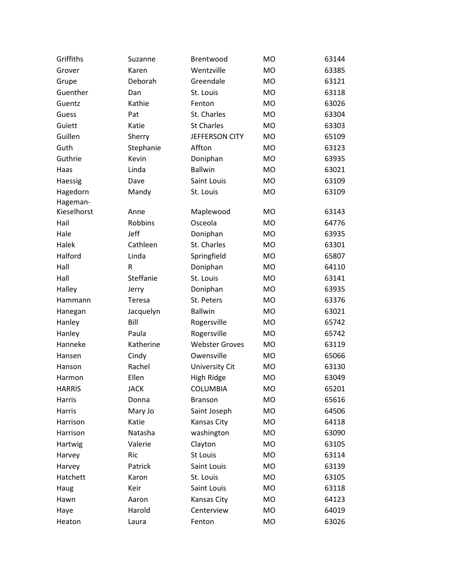| Griffiths     | Suzanne     | Brentwood             | <b>MO</b> | 63144 |
|---------------|-------------|-----------------------|-----------|-------|
| Grover        | Karen       | Wentzville            | <b>MO</b> | 63385 |
| Grupe         | Deborah     | Greendale             | <b>MO</b> | 63121 |
| Guenther      | Dan         | St. Louis             | <b>MO</b> | 63118 |
| Guentz        | Kathie      | Fenton                | <b>MO</b> | 63026 |
| Guess         | Pat         | St. Charles           | <b>MO</b> | 63304 |
| Guiett        | Katie       | <b>St Charles</b>     | <b>MO</b> | 63303 |
| Guillen       | Sherry      | JEFFERSON CITY        | <b>MO</b> | 65109 |
| Guth          | Stephanie   | Affton                | <b>MO</b> | 63123 |
| Guthrie       | Kevin       | Doniphan              | <b>MO</b> | 63935 |
| Haas          | Linda       | <b>Ballwin</b>        | <b>MO</b> | 63021 |
| Haessig       | Dave        | Saint Louis           | <b>MO</b> | 63109 |
| Hagedorn      | Mandy       | St. Louis             | <b>MO</b> | 63109 |
| Hageman-      |             |                       |           |       |
| Kieselhorst   | Anne        | Maplewood             | MO        | 63143 |
| Hail          | Robbins     | Osceola               | MO        | 64776 |
| Hale          | Jeff        | Doniphan              | <b>MO</b> | 63935 |
| Halek         | Cathleen    | St. Charles           | MO        | 63301 |
| Halford       | Linda       | Springfield           | <b>MO</b> | 65807 |
| Hall          | R           | Doniphan              | <b>MO</b> | 64110 |
| Hall          | Steffanie   | St. Louis             | <b>MO</b> | 63141 |
| Halley        | Jerry       | Doniphan              | MO        | 63935 |
| Hammann       | Teresa      | St. Peters            | <b>MO</b> | 63376 |
| Hanegan       | Jacquelyn   | <b>Ballwin</b>        | MO        | 63021 |
| Hanley        | Bill        | Rogersville           | <b>MO</b> | 65742 |
| Hanley        | Paula       | Rogersville           | MO        | 65742 |
| Hanneke       | Katherine   | <b>Webster Groves</b> | <b>MO</b> | 63119 |
| Hansen        | Cindy       | Owensville            | MO        | 65066 |
| Hanson        | Rachel      | <b>University Cit</b> | MO        | 63130 |
| Harmon        | Ellen       | High Ridge            | MO        | 63049 |
| <b>HARRIS</b> | <b>JACK</b> | <b>COLUMBIA</b>       | MO        | 65201 |
| Harris        | Donna       | <b>Branson</b>        | MO        | 65616 |
| Harris        | Mary Jo     | Saint Joseph          | MO        | 64506 |
| Harrison      | Katie       | Kansas City           | MO        | 64118 |
| Harrison      | Natasha     | washington            | MO        | 63090 |
| Hartwig       | Valerie     | Clayton               | MO        | 63105 |
| Harvey        | Ric         | St Louis              | MO        | 63114 |
| Harvey        | Patrick     | Saint Louis           | MO        | 63139 |
| Hatchett      | Karon       | St. Louis             | <b>MO</b> | 63105 |
| Haug          | Keir        | Saint Louis           | MO        | 63118 |
| Hawn          | Aaron       | Kansas City           | MO        | 64123 |
| Haye          | Harold      | Centerview            | MO        | 64019 |
| Heaton        | Laura       | Fenton                | MO        | 63026 |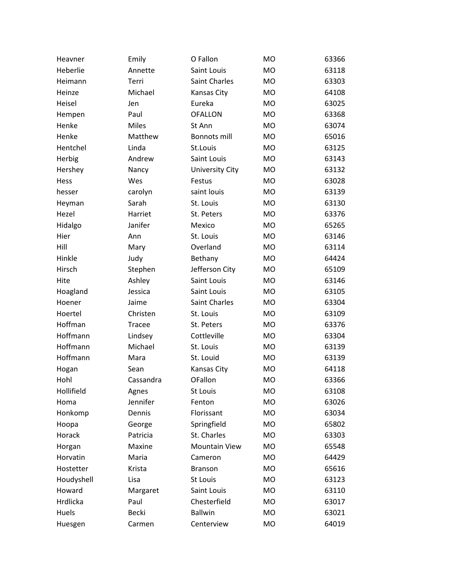| Heavner    | Emily        | O Fallon             | <b>MO</b> | 63366 |
|------------|--------------|----------------------|-----------|-------|
| Heberlie   | Annette      | Saint Louis          | <b>MO</b> | 63118 |
| Heimann    | Terri        | <b>Saint Charles</b> | <b>MO</b> | 63303 |
| Heinze     | Michael      | Kansas City          | <b>MO</b> | 64108 |
| Heisel     | Jen          | Eureka               | <b>MO</b> | 63025 |
| Hempen     | Paul         | <b>OFALLON</b>       | <b>MO</b> | 63368 |
| Henke      | <b>Miles</b> | St Ann               | <b>MO</b> | 63074 |
| Henke      | Matthew      | <b>Bonnots mill</b>  | <b>MO</b> | 65016 |
| Hentchel   | Linda        | St.Louis             | <b>MO</b> | 63125 |
| Herbig     | Andrew       | Saint Louis          | <b>MO</b> | 63143 |
| Hershey    | Nancy        | University City      | <b>MO</b> | 63132 |
| Hess       | Wes          | Festus               | <b>MO</b> | 63028 |
| hesser     | carolyn      | saint louis          | <b>MO</b> | 63139 |
| Heyman     | Sarah        | St. Louis            | <b>MO</b> | 63130 |
| Hezel      | Harriet      | St. Peters           | <b>MO</b> | 63376 |
| Hidalgo    | Janifer      | Mexico               | <b>MO</b> | 65265 |
| Hier       | Ann          | St. Louis            | <b>MO</b> | 63146 |
| Hill       | Mary         | Overland             | <b>MO</b> | 63114 |
| Hinkle     | Judy         | Bethany              | <b>MO</b> | 64424 |
| Hirsch     | Stephen      | Jefferson City       | <b>MO</b> | 65109 |
| Hite       | Ashley       | Saint Louis          | <b>MO</b> | 63146 |
| Hoagland   | Jessica      | Saint Louis          | <b>MO</b> | 63105 |
| Hoener     | Jaime        | Saint Charles        | <b>MO</b> | 63304 |
| Hoertel    | Christen     | St. Louis            | <b>MO</b> | 63109 |
| Hoffman    | Tracee       | St. Peters           | <b>MO</b> | 63376 |
| Hoffmann   | Lindsey      | Cottleville          | <b>MO</b> | 63304 |
| Hoffmann   | Michael      | St. Louis            | <b>MO</b> | 63139 |
| Hoffmann   | Mara         | St. Louid            | <b>MO</b> | 63139 |
| Hogan      | Sean         | Kansas City          | <b>MO</b> | 64118 |
| Hohl       | Cassandra    | <b>OFallon</b>       | <b>MO</b> | 63366 |
| Hollifield | Agnes        | St Louis             | <b>MO</b> | 63108 |
| Homa       | Jennifer     | Fenton               | <b>MO</b> | 63026 |
| Honkomp    | Dennis       | Florissant           | <b>MO</b> | 63034 |
| Hoopa      | George       | Springfield          | <b>MO</b> | 65802 |
| Horack     | Patricia     | St. Charles          | <b>MO</b> | 63303 |
| Horgan     | Maxine       | <b>Mountain View</b> | <b>MO</b> | 65548 |
| Horvatin   | Maria        | Cameron              | <b>MO</b> | 64429 |
| Hostetter  | Krista       | <b>Branson</b>       | <b>MO</b> | 65616 |
| Houdyshell | Lisa         | St Louis             | <b>MO</b> | 63123 |
| Howard     | Margaret     | Saint Louis          | <b>MO</b> | 63110 |
| Hrdlicka   | Paul         | Chesterfield         | <b>MO</b> | 63017 |
| Huels      | Becki        | <b>Ballwin</b>       | <b>MO</b> | 63021 |
| Huesgen    | Carmen       | Centerview           | <b>MO</b> | 64019 |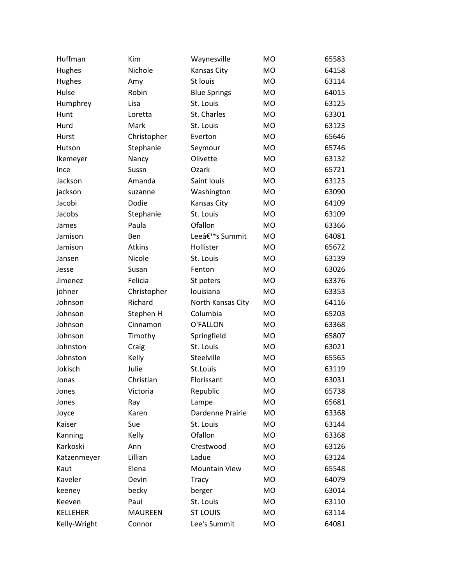| Huffman         | Kim            | Waynesville          | <b>MO</b> | 65583 |
|-----------------|----------------|----------------------|-----------|-------|
| Hughes          | Nichole        | Kansas City          | <b>MO</b> | 64158 |
| Hughes          | Amy            | St louis             | MO        | 63114 |
| Hulse           | Robin          | <b>Blue Springs</b>  | MO        | 64015 |
| Humphrey        | Lisa           | St. Louis            | <b>MO</b> | 63125 |
| Hunt            | Loretta        | St. Charles          | MO        | 63301 |
| Hurd            | Mark           | St. Louis            | <b>MO</b> | 63123 |
| Hurst           | Christopher    | Everton              | <b>MO</b> | 65646 |
| Hutson          | Stephanie      | Seymour              | <b>MO</b> | 65746 |
| Ikemeyer        | Nancy          | Olivette             | <b>MO</b> | 63132 |
| Ince            | Sussn          | Ozark                | <b>MO</b> | 65721 |
| Jackson         | Amanda         | Saint louis          | <b>MO</b> | 63123 |
| jackson         | suzanne        | Washington           | MO        | 63090 |
| Jacobi          | Dodie          | Kansas City          | MO        | 64109 |
| Jacobs          | Stephanie      | St. Louis            | <b>MO</b> | 63109 |
| James           | Paula          | Ofallon              | <b>MO</b> | 63366 |
| Jamison         | Ben            | Lee's Summit         | <b>MO</b> | 64081 |
| Jamison         | Atkins         | Hollister            | <b>MO</b> | 65672 |
| Jansen          | Nicole         | St. Louis            | <b>MO</b> | 63139 |
| Jesse           | Susan          | Fenton               | <b>MO</b> | 63026 |
| Jimenez         | Felicia        | St peters            | MO        | 63376 |
| johner          | Christopher    | louisiana            | <b>MO</b> | 63353 |
| Johnson         | Richard        | North Kansas City    | <b>MO</b> | 64116 |
| Johnson         | Stephen H      | Columbia             | <b>MO</b> | 65203 |
| Johnson         | Cinnamon       | O'FALLON             | MO        | 63368 |
| Johnson         | Timothy        | Springfield          | MO        | 65807 |
| Johnston        | Craig          | St. Louis            | <b>MO</b> | 63021 |
| Johnston        | Kelly          | Steelville           | MO        | 65565 |
| Jokisch         | Julie          | St.Louis             | <b>MO</b> | 63119 |
| Jonas           | Christian      | Florissant           | <b>MO</b> | 63031 |
| Jones           | Victoria       | Republic             | MO        | 65738 |
| Jones           | Ray            | Lampe                | <b>MO</b> | 65681 |
| Joyce           | Karen          | Dardenne Prairie     | MO        | 63368 |
| Kaiser          | Sue            | St. Louis            | MO        | 63144 |
| Kanning         | Kelly          | Ofallon              | MO        | 63368 |
| Karkoski        | Ann            | Crestwood            | MO        | 63126 |
| Katzenmeyer     | Lillian        | Ladue                | MO        | 63124 |
| Kaut            | Elena          | <b>Mountain View</b> | MO        | 65548 |
| Kaveler         | Devin          | Tracy                | MO        | 64079 |
| keeney          | becky          | berger               | MO        | 63014 |
| Keeven          | Paul           | St. Louis            | MO        | 63110 |
| <b>KELLEHER</b> | <b>MAUREEN</b> | <b>ST LOUIS</b>      | MO        | 63114 |
| Kelly-Wright    | Connor         | Lee's Summit         | MO        | 64081 |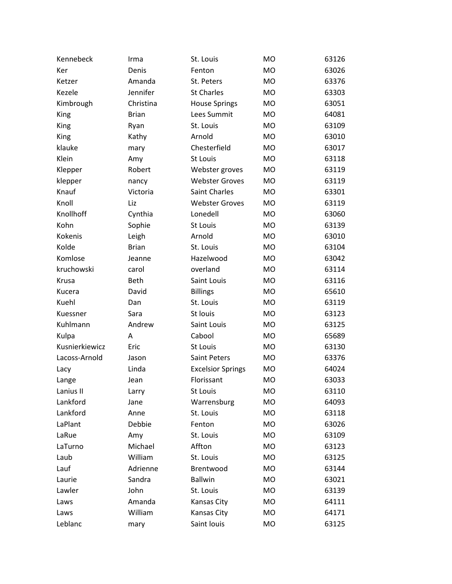| Kennebeck      | Irma         | St. Louis                | <b>MO</b>      | 63126 |
|----------------|--------------|--------------------------|----------------|-------|
| Ker            | Denis        | Fenton                   | <b>MO</b>      | 63026 |
| Ketzer         | Amanda       | St. Peters               | <b>MO</b>      | 63376 |
| Kezele         | Jennifer     | <b>St Charles</b>        | <b>MO</b>      | 63303 |
| Kimbrough      | Christina    | <b>House Springs</b>     | <b>MO</b>      | 63051 |
| King           | <b>Brian</b> | Lees Summit              | <b>MO</b>      | 64081 |
| King           | Ryan         | St. Louis                | <b>MO</b>      | 63109 |
| King           | Kathy        | Arnold                   | <b>MO</b>      | 63010 |
| klauke         | mary         | Chesterfield             | M <sub>O</sub> | 63017 |
| Klein          | Amy          | St Louis                 | <b>MO</b>      | 63118 |
| Klepper        | Robert       | Webster groves           | <b>MO</b>      | 63119 |
| klepper        | nancy        | <b>Webster Groves</b>    | <b>MO</b>      | 63119 |
| Knauf          | Victoria     | <b>Saint Charles</b>     | <b>MO</b>      | 63301 |
| Knoll          | Liz          | <b>Webster Groves</b>    | <b>MO</b>      | 63119 |
| Knollhoff      | Cynthia      | Lonedell                 | <b>MO</b>      | 63060 |
| Kohn           | Sophie       | St Louis                 | <b>MO</b>      | 63139 |
| <b>Kokenis</b> | Leigh        | Arnold                   | <b>MO</b>      | 63010 |
| Kolde          | <b>Brian</b> | St. Louis                | <b>MO</b>      | 63104 |
| Komlose        | Jeanne       | Hazelwood                | <b>MO</b>      | 63042 |
| kruchowski     | carol        | overland                 | <b>MO</b>      | 63114 |
| Krusa          | <b>Beth</b>  | Saint Louis              | <b>MO</b>      | 63116 |
| Kucera         | David        | <b>Billings</b>          | <b>MO</b>      | 65610 |
| Kuehl          | Dan          | St. Louis                | <b>MO</b>      | 63119 |
| Kuessner       | Sara         | St louis                 | <b>MO</b>      | 63123 |
| Kuhlmann       | Andrew       | Saint Louis              | <b>MO</b>      | 63125 |
| Kulpa          | Α            | Cabool                   | <b>MO</b>      | 65689 |
| Kusnierkiewicz | Eric         | <b>St Louis</b>          | <b>MO</b>      | 63130 |
| Lacoss-Arnold  | Jason        | <b>Saint Peters</b>      | <b>MO</b>      | 63376 |
| Lacy           | Linda        | <b>Excelsior Springs</b> | <b>MO</b>      | 64024 |
| Lange          | Jean         | Florissant               | <b>MO</b>      | 63033 |
| Lanius II      | Larry        | St Louis                 | MO             | 63110 |
| Lankford       | Jane         | Warrensburg              | MO             | 64093 |
| Lankford       | Anne         | St. Louis                | MO             | 63118 |
| LaPlant        | Debbie       | Fenton                   | <b>MO</b>      | 63026 |
| LaRue          | Amy          | St. Louis                | MO             | 63109 |
| LaTurno        | Michael      | Affton                   | MO             | 63123 |
| Laub           | William      | St. Louis                | MO             | 63125 |
| Lauf           | Adrienne     | Brentwood                | MO             | 63144 |
| Laurie         | Sandra       | <b>Ballwin</b>           | MO             | 63021 |
| Lawler         | John         | St. Louis                | MO             | 63139 |
| Laws           | Amanda       | Kansas City              | <b>MO</b>      | 64111 |
| Laws           | William      | Kansas City              | MO             | 64171 |
| Leblanc        | mary         | Saint louis              | MO             | 63125 |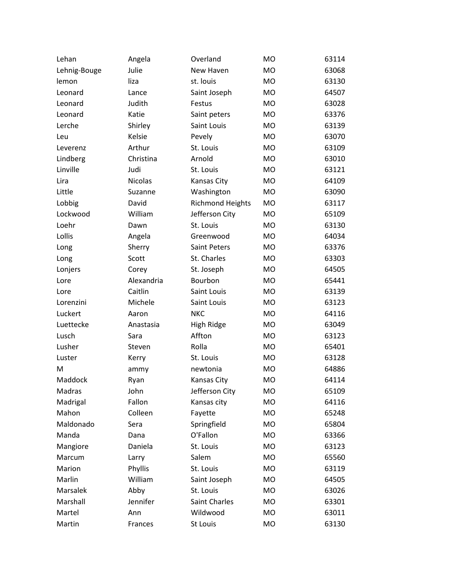| Lehan        | Angela         | Overland                | MO        | 63114 |
|--------------|----------------|-------------------------|-----------|-------|
| Lehnig-Bouge | Julie          | New Haven               | <b>MO</b> | 63068 |
| lemon        | liza           | st. louis               | <b>MO</b> | 63130 |
| Leonard      | Lance          | Saint Joseph            | <b>MO</b> | 64507 |
| Leonard      | Judith         | Festus                  | <b>MO</b> | 63028 |
| Leonard      | Katie          | Saint peters            | <b>MO</b> | 63376 |
| Lerche       | Shirley        | Saint Louis             | <b>MO</b> | 63139 |
| Leu          | Kelsie         | Pevely                  | <b>MO</b> | 63070 |
| Leverenz     | Arthur         | St. Louis               | <b>MO</b> | 63109 |
| Lindberg     | Christina      | Arnold                  | <b>MO</b> | 63010 |
| Linville     | Judi           | St. Louis               | <b>MO</b> | 63121 |
| Lira         | <b>Nicolas</b> | Kansas City             | MO        | 64109 |
| Little       | Suzanne        | Washington              | <b>MO</b> | 63090 |
| Lobbig       | David          | <b>Richmond Heights</b> | <b>MO</b> | 63117 |
| Lockwood     | William        | Jefferson City          | <b>MO</b> | 65109 |
| Loehr        | Dawn           | St. Louis               | <b>MO</b> | 63130 |
| Lollis       | Angela         | Greenwood               | MO        | 64034 |
| Long         | Sherry         | Saint Peters            | <b>MO</b> | 63376 |
| Long         | Scott          | St. Charles             | <b>MO</b> | 63303 |
| Lonjers      | Corey          | St. Joseph              | MO        | 64505 |
| Lore         | Alexandria     | Bourbon                 | <b>MO</b> | 65441 |
| Lore         | Caitlin        | Saint Louis             | <b>MO</b> | 63139 |
| Lorenzini    | Michele        | Saint Louis             | <b>MO</b> | 63123 |
| Luckert      | Aaron          | <b>NKC</b>              | <b>MO</b> | 64116 |
| Luettecke    | Anastasia      | High Ridge              | <b>MO</b> | 63049 |
| Lusch        | Sara           | Affton                  | <b>MO</b> | 63123 |
| Lusher       | Steven         | Rolla                   | <b>MO</b> | 65401 |
| Luster       | Kerry          | St. Louis               | <b>MO</b> | 63128 |
| M            | ammy           | newtonia                | <b>MO</b> | 64886 |
| Maddock      | Ryan           | <b>Kansas City</b>      | <b>MO</b> | 64114 |
| Madras       | John           | Jefferson City          | MO        | 65109 |
| Madrigal     | Fallon         | Kansas city             | <b>MO</b> | 64116 |
| Mahon        | Colleen        | Fayette                 | MO        | 65248 |
| Maldonado    | Sera           | Springfield             | MO        | 65804 |
| Manda        | Dana           | O'Fallon                | MO        | 63366 |
| Mangiore     | Daniela        | St. Louis               | MO        | 63123 |
| Marcum       | Larry          | Salem                   | MO        | 65560 |
| Marion       | Phyllis        | St. Louis               | MO        | 63119 |
| Marlin       | William        | Saint Joseph            | MO        | 64505 |
| Marsalek     | Abby           | St. Louis               | MO        | 63026 |
| Marshall     | Jennifer       | Saint Charles           | <b>MO</b> | 63301 |
| Martel       | Ann            | Wildwood                | MO        | 63011 |
| Martin       | Frances        | St Louis                | MO        | 63130 |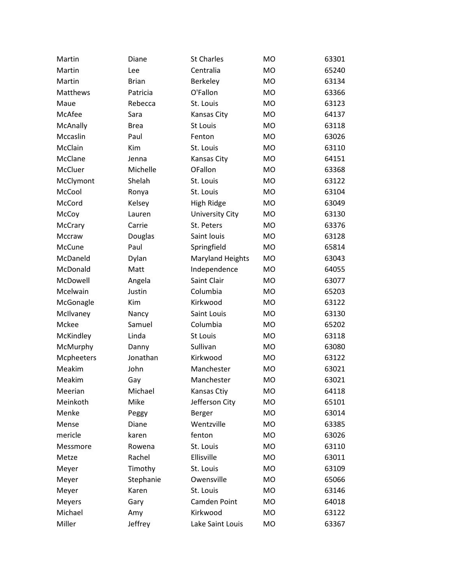| Martin     | Diane        | <b>St Charles</b>       | <b>MO</b> | 63301 |
|------------|--------------|-------------------------|-----------|-------|
| Martin     | Lee          | Centralia               | <b>MO</b> | 65240 |
| Martin     | <b>Brian</b> | Berkeley                | <b>MO</b> | 63134 |
| Matthews   | Patricia     | O'Fallon                | <b>MO</b> | 63366 |
| Maue       | Rebecca      | St. Louis               | <b>MO</b> | 63123 |
| McAfee     | Sara         | Kansas City             | <b>MO</b> | 64137 |
| McAnally   | <b>Brea</b>  | St Louis                | <b>MO</b> | 63118 |
| Mccaslin   | Paul         | Fenton                  | <b>MO</b> | 63026 |
| McClain    | Kim          | St. Louis               | <b>MO</b> | 63110 |
| McClane    | Jenna        | Kansas City             | <b>MO</b> | 64151 |
| McCluer    | Michelle     | OFallon                 | <b>MO</b> | 63368 |
| McClymont  | Shelah       | St. Louis               | <b>MO</b> | 63122 |
| McCool     | Ronya        | St. Louis               | <b>MO</b> | 63104 |
| McCord     | Kelsey       | High Ridge              | <b>MO</b> | 63049 |
| McCoy      | Lauren       | <b>University City</b>  | <b>MO</b> | 63130 |
| McCrary    | Carrie       | St. Peters              | <b>MO</b> | 63376 |
| Mccraw     | Douglas      | Saint louis             | <b>MO</b> | 63128 |
| McCune     | Paul         | Springfield             | <b>MO</b> | 65814 |
| McDaneld   | Dylan        | <b>Maryland Heights</b> | <b>MO</b> | 63043 |
| McDonald   | Matt         | Independence            | <b>MO</b> | 64055 |
| McDowell   | Angela       | Saint Clair             | <b>MO</b> | 63077 |
| Mcelwain   | Justin       | Columbia                | <b>MO</b> | 65203 |
| McGonagle  | Kim          | Kirkwood                | <b>MO</b> | 63122 |
| McIlvaney  | Nancy        | Saint Louis             | <b>MO</b> | 63130 |
| Mckee      | Samuel       | Columbia                | <b>MO</b> | 65202 |
| McKindley  | Linda        | St Louis                | <b>MO</b> | 63118 |
| McMurphy   | Danny        | Sullivan                | <b>MO</b> | 63080 |
| Mcpheeters | Jonathan     | Kirkwood                | <b>MO</b> | 63122 |
| Meakim     | John         | Manchester              | <b>MO</b> | 63021 |
| Meakim     | Gay          | Manchester              | <b>MO</b> | 63021 |
| Meerian    | Michael      | Kansas Ctiy             | <b>MO</b> | 64118 |
| Meinkoth   | Mike         | Jefferson City          | MO        | 65101 |
| Menke      | Peggy        | Berger                  | MO        | 63014 |
| Mense      | Diane        | Wentzville              | <b>MO</b> | 63385 |
| mericle    | karen        | fenton                  | <b>MO</b> | 63026 |
| Messmore   | Rowena       | St. Louis               | <b>MO</b> | 63110 |
| Metze      | Rachel       | Ellisville              | <b>MO</b> | 63011 |
| Meyer      | Timothy      | St. Louis               | <b>MO</b> | 63109 |
| Meyer      | Stephanie    | Owensville              | <b>MO</b> | 65066 |
| Meyer      | Karen        | St. Louis               | <b>MO</b> | 63146 |
| Meyers     | Gary         | Camden Point            | <b>MO</b> | 64018 |
| Michael    | Amy          | Kirkwood                | <b>MO</b> | 63122 |
| Miller     | Jeffrey      | Lake Saint Louis        | MO        | 63367 |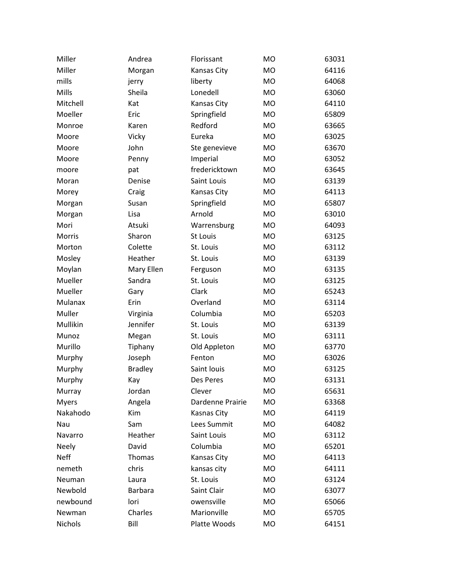| Miller        | Andrea         | Florissant       | M <sub>O</sub> | 63031 |
|---------------|----------------|------------------|----------------|-------|
| Miller        | Morgan         | Kansas City      | <b>MO</b>      | 64116 |
| mills         | jerry          | liberty          | <b>MO</b>      | 64068 |
| Mills         | Sheila         | Lonedell         | <b>MO</b>      | 63060 |
| Mitchell      | Kat            | Kansas City      | <b>MO</b>      | 64110 |
| Moeller       | Eric           | Springfield      | <b>MO</b>      | 65809 |
| Monroe        | Karen          | Redford          | <b>MO</b>      | 63665 |
| Moore         | Vicky          | Eureka           | <b>MO</b>      | 63025 |
| Moore         | John           | Ste genevieve    | MO             | 63670 |
| Moore         | Penny          | Imperial         | <b>MO</b>      | 63052 |
| moore         | pat            | fredericktown    | <b>MO</b>      | 63645 |
| Moran         | Denise         | Saint Louis      | <b>MO</b>      | 63139 |
| Morey         | Craig          | Kansas City      | <b>MO</b>      | 64113 |
| Morgan        | Susan          | Springfield      | <b>MO</b>      | 65807 |
| Morgan        | Lisa           | Arnold           | <b>MO</b>      | 63010 |
| Mori          | Atsuki         | Warrensburg      | <b>MO</b>      | 64093 |
| <b>Morris</b> | Sharon         | St Louis         | <b>MO</b>      | 63125 |
| Morton        | Colette        | St. Louis        | <b>MO</b>      | 63112 |
| Mosley        | Heather        | St. Louis        | <b>MO</b>      | 63139 |
| Moylan        | Mary Ellen     | Ferguson         | <b>MO</b>      | 63135 |
| Mueller       | Sandra         | St. Louis        | <b>MO</b>      | 63125 |
| Mueller       | Gary           | Clark            | <b>MO</b>      | 65243 |
| Mulanax       | Erin           | Overland         | <b>MO</b>      | 63114 |
| Muller        | Virginia       | Columbia         | <b>MO</b>      | 65203 |
| Mullikin      | Jennifer       | St. Louis        | <b>MO</b>      | 63139 |
| Munoz         | Megan          | St. Louis        | <b>MO</b>      | 63111 |
| Murillo       | Tiphany        | Old Appleton     | <b>MO</b>      | 63770 |
| Murphy        | Joseph         | Fenton           | <b>MO</b>      | 63026 |
| Murphy        | <b>Bradley</b> | Saint louis      | <b>MO</b>      | 63125 |
| Murphy        | Kay            | Des Peres        | <b>MO</b>      | 63131 |
| Murray        | Jordan         | Clever           | <b>MO</b>      | 65631 |
| <b>Myers</b>  | Angela         | Dardenne Prairie | <b>MO</b>      | 63368 |
| Nakahodo      | Kim            | Kasnas City      | MO             | 64119 |
| Nau           | Sam            | Lees Summit      | <b>MO</b>      | 64082 |
| Navarro       | Heather        | Saint Louis      | MO             | 63112 |
| <b>Neely</b>  | David          | Columbia         | <b>MO</b>      | 65201 |
| <b>Neff</b>   | Thomas         | Kansas City      | MO             | 64113 |
| nemeth        | chris          | kansas city      | <b>MO</b>      | 64111 |
| <b>Neuman</b> | Laura          | St. Louis        | MO             | 63124 |
| Newbold       | <b>Barbara</b> | Saint Clair      | <b>MO</b>      | 63077 |
| newbound      | lori           | owensville       | MO             | 65066 |
| Newman        | Charles        | Marionville      | <b>MO</b>      | 65705 |
| Nichols       | Bill           | Platte Woods     | MO             | 64151 |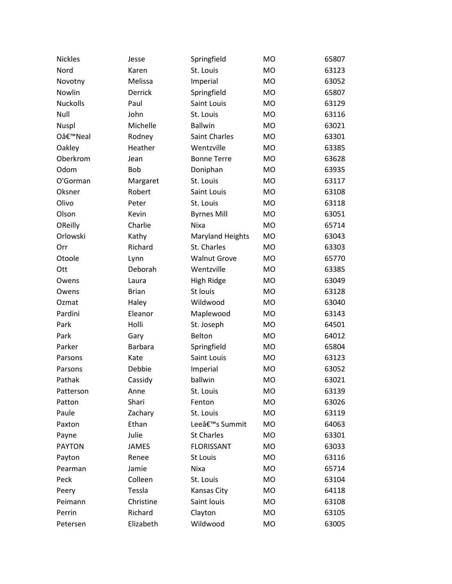| <b>Nickles</b>  | Jesse          | Springfield             | <b>MO</b> | 65807 |
|-----------------|----------------|-------------------------|-----------|-------|
| Nord            | Karen          | St. Louis               | <b>MO</b> | 63123 |
| Novotny         | Melissa        | Imperial                | <b>MO</b> | 63052 |
| Nowlin          | Derrick        | Springfield             | <b>MO</b> | 65807 |
| <b>Nuckolls</b> | Paul           | Saint Louis             | <b>MO</b> | 63129 |
| Null            | John           | St. Louis               | <b>MO</b> | 63116 |
| Nuspl           | Michelle       | <b>Ballwin</b>          | <b>MO</b> | 63021 |
| O'Neal          | Rodney         | Saint Charles           | <b>MO</b> | 63301 |
| Oakley          | Heather        | Wentzville              | <b>MO</b> | 63385 |
| Oberkrom        | Jean           | <b>Bonne Terre</b>      | <b>MO</b> | 63628 |
| Odom            | <b>Bob</b>     | Doniphan                | <b>MO</b> | 63935 |
| O'Gorman        | Margaret       | St. Louis               | <b>MO</b> | 63117 |
| Oksner          | Robert         | Saint Louis             | <b>MO</b> | 63108 |
| Olivo           | Peter          | St. Louis               | <b>MO</b> | 63118 |
| Olson           | Kevin          | <b>Byrnes Mill</b>      | <b>MO</b> | 63051 |
| OReilly         | Charlie        | Nixa                    | <b>MO</b> | 65714 |
| Orlowski        | Kathy          | <b>Maryland Heights</b> | <b>MO</b> | 63043 |
| Orr             | Richard        | St. Charles             | <b>MO</b> | 63303 |
| Otoole          | Lynn           | <b>Walnut Grove</b>     | <b>MO</b> | 65770 |
| Ott             | Deborah        | Wentzville              | <b>MO</b> | 63385 |
| Owens           | Laura          | High Ridge              | <b>MO</b> | 63049 |
| Owens           | <b>Brian</b>   | St louis                | <b>MO</b> | 63128 |
| Ozmat           | Haley          | Wildwood                | <b>MO</b> | 63040 |
| Pardini         | Eleanor        | Maplewood               | <b>MO</b> | 63143 |
| Park            | Holli          | St. Joseph              | <b>MO</b> | 64501 |
| Park            | Gary           | Belton                  | <b>MO</b> | 64012 |
| Parker          | <b>Barbara</b> | Springfield             | <b>MO</b> | 65804 |
| Parsons         | Kate           | Saint Louis             | <b>MO</b> | 63123 |
| Parsons         | Debbie         | Imperial                | <b>MO</b> | 63052 |
| Pathak          | Cassidy        | ballwin                 | <b>MO</b> | 63021 |
| Patterson       | Anne           | St. Louis               | MO        | 63139 |
| Patton          | Shari          | Fenton                  | MO        | 63026 |
| Paule           | Zachary        | St. Louis               | <b>MO</b> | 63119 |
| Paxton          | Ethan          | Lee's Summit            | <b>MO</b> | 64063 |
| Payne           | Julie          | <b>St Charles</b>       | <b>MO</b> | 63301 |
| <b>PAYTON</b>   | JAMES          | <b>FLORISSANT</b>       | <b>MO</b> | 63033 |
| Payton          | Renee          | St Louis                | <b>MO</b> | 63116 |
| Pearman         | Jamie          | Nixa                    | <b>MO</b> | 65714 |
| Peck            | Colleen        | St. Louis               | <b>MO</b> | 63104 |
| Peery           | Tessla         | Kansas City             | MO        | 64118 |
| Peimann         | Christine      | Saint louis             | <b>MO</b> | 63108 |
| Perrin          | Richard        | Clayton                 | <b>MO</b> | 63105 |
| Petersen        | Elizabeth      | Wildwood                | MO        | 63005 |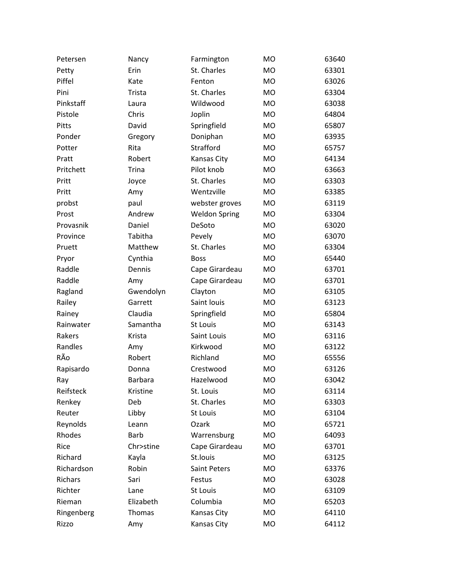| Petersen   | Nancy          | Farmington           | <b>MO</b> | 63640 |
|------------|----------------|----------------------|-----------|-------|
| Petty      | Erin           | St. Charles          | <b>MO</b> | 63301 |
| Piffel     | Kate           | Fenton               | <b>MO</b> | 63026 |
| Pini       | Trista         | St. Charles          | <b>MO</b> | 63304 |
| Pinkstaff  | Laura          | Wildwood             | <b>MO</b> | 63038 |
| Pistole    | Chris          | Joplin               | <b>MO</b> | 64804 |
| Pitts      | David          | Springfield          | <b>MO</b> | 65807 |
| Ponder     | Gregory        | Doniphan             | <b>MO</b> | 63935 |
| Potter     | Rita           | Strafford            | <b>MO</b> | 65757 |
| Pratt      | Robert         | Kansas City          | <b>MO</b> | 64134 |
| Pritchett  | <b>Trina</b>   | Pilot knob           | <b>MO</b> | 63663 |
| Pritt      | Joyce          | St. Charles          | <b>MO</b> | 63303 |
| Pritt      | Amy            | Wentzville           | <b>MO</b> | 63385 |
| probst     | paul           | webster groves       | <b>MO</b> | 63119 |
| Prost      | Andrew         | <b>Weldon Spring</b> | <b>MO</b> | 63304 |
| Provasnik  | Daniel         | DeSoto               | <b>MO</b> | 63020 |
| Province   | Tabitha        | Pevely               | <b>MO</b> | 63070 |
| Pruett     | Matthew        | St. Charles          | <b>MO</b> | 63304 |
| Pryor      | Cynthia        | <b>Boss</b>          | <b>MO</b> | 65440 |
| Raddle     | Dennis         | Cape Girardeau       | <b>MO</b> | 63701 |
| Raddle     | Amy            | Cape Girardeau       | <b>MO</b> | 63701 |
| Ragland    | Gwendolyn      | Clayton              | <b>MO</b> | 63105 |
| Railey     | Garrett        | Saint louis          | <b>MO</b> | 63123 |
| Rainey     | Claudia        | Springfield          | <b>MO</b> | 65804 |
| Rainwater  | Samantha       | St Louis             | <b>MO</b> | 63143 |
| Rakers     | Krista         | Saint Louis          | <b>MO</b> | 63116 |
| Randles    | Amy            | Kirkwood             | <b>MO</b> | 63122 |
| RÃo        | Robert         | Richland             | <b>MO</b> | 65556 |
| Rapisardo  | Donna          | Crestwood            | <b>MO</b> | 63126 |
| Ray        | <b>Barbara</b> | Hazelwood            | <b>MO</b> | 63042 |
| Reifsteck  | Kristine       | St. Louis            | MO        | 63114 |
| Renkey     | Deb            | St. Charles          | <b>MO</b> | 63303 |
| Reuter     | Libby          | St Louis             | <b>MO</b> | 63104 |
| Reynolds   | Leann          | Ozark                | <b>MO</b> | 65721 |
| Rhodes     | <b>Barb</b>    | Warrensburg          | <b>MO</b> | 64093 |
| Rice       | Chr>stine      | Cape Girardeau       | MO        | 63701 |
| Richard    | Kayla          | St.louis             | <b>MO</b> | 63125 |
| Richardson | Robin          | Saint Peters         | <b>MO</b> | 63376 |
| Richars    | Sari           | Festus               | <b>MO</b> | 63028 |
| Richter    | Lane           | <b>St Louis</b>      | <b>MO</b> | 63109 |
| Rieman     | Elizabeth      | Columbia             | <b>MO</b> | 65203 |
| Ringenberg | Thomas         | Kansas City          | MO        | 64110 |
| Rizzo      | Amy            | Kansas City          | MO        | 64112 |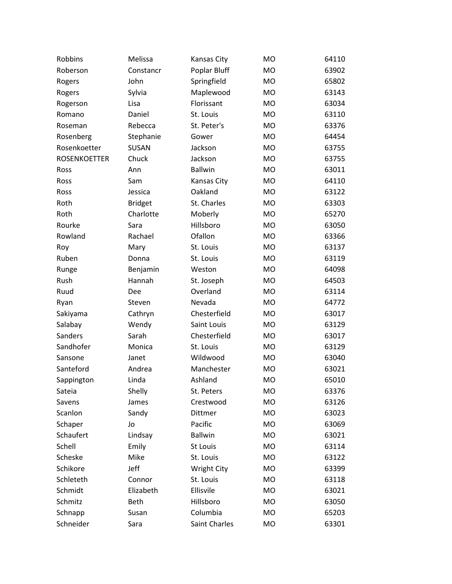| Robbins             | Melissa        | Kansas City        | <b>MO</b> | 64110 |
|---------------------|----------------|--------------------|-----------|-------|
| Roberson            | Constancr      | Poplar Bluff       | <b>MO</b> | 63902 |
| Rogers              | John           | Springfield        | <b>MO</b> | 65802 |
| Rogers              | Sylvia         | Maplewood          | <b>MO</b> | 63143 |
| Rogerson            | Lisa           | Florissant         | <b>MO</b> | 63034 |
| Romano              | Daniel         | St. Louis          | <b>MO</b> | 63110 |
| Roseman             | Rebecca        | St. Peter's        | <b>MO</b> | 63376 |
| Rosenberg           | Stephanie      | Gower              | <b>MO</b> | 64454 |
| Rosenkoetter        | <b>SUSAN</b>   | Jackson            | <b>MO</b> | 63755 |
| <b>ROSENKOETTER</b> | Chuck          | Jackson            | <b>MO</b> | 63755 |
| Ross                | Ann            | <b>Ballwin</b>     | <b>MO</b> | 63011 |
| Ross                | Sam            | Kansas City        | <b>MO</b> | 64110 |
| Ross                | Jessica        | Oakland            | <b>MO</b> | 63122 |
| Roth                | <b>Bridget</b> | St. Charles        | <b>MO</b> | 63303 |
| Roth                | Charlotte      | Moberly            | <b>MO</b> | 65270 |
| Rourke              | Sara           | Hillsboro          | <b>MO</b> | 63050 |
| Rowland             | Rachael        | Ofallon            | <b>MO</b> | 63366 |
| Roy                 | Mary           | St. Louis          | <b>MO</b> | 63137 |
| Ruben               | Donna          | St. Louis          | <b>MO</b> | 63119 |
| Runge               | Benjamin       | Weston             | <b>MO</b> | 64098 |
| Rush                | Hannah         | St. Joseph         | <b>MO</b> | 64503 |
| Ruud                | Dee            | Overland           | <b>MO</b> | 63114 |
| Ryan                | Steven         | Nevada             | <b>MO</b> | 64772 |
| Sakiyama            | Cathryn        | Chesterfield       | <b>MO</b> | 63017 |
| Salabay             | Wendy          | Saint Louis        | <b>MO</b> | 63129 |
| Sanders             | Sarah          | Chesterfield       | <b>MO</b> | 63017 |
| Sandhofer           | Monica         | St. Louis          | <b>MO</b> | 63129 |
| Sansone             | Janet          | Wildwood           | <b>MO</b> | 63040 |
| Santeford           | Andrea         | Manchester         | <b>MO</b> | 63021 |
| Sappington          | Linda          | Ashland            | <b>MO</b> | 65010 |
| Sateia              | Shelly         | St. Peters         | <b>MO</b> | 63376 |
| Savens              | James          | Crestwood          | <b>MO</b> | 63126 |
| Scanlon             | Sandy          | Dittmer            | MO        | 63023 |
| Schaper             | Jo             | Pacific            | <b>MO</b> | 63069 |
| Schaufert           | Lindsay        | <b>Ballwin</b>     | MO        | 63021 |
| Schell              | Emily          | St Louis           | MO        | 63114 |
| Scheske             | Mike           | St. Louis          | MO        | 63122 |
| Schikore            | Jeff           | <b>Wright City</b> | <b>MO</b> | 63399 |
| Schleteth           | Connor         | St. Louis          | MO        | 63118 |
| Schmidt             | Elizabeth      | Ellisvile          | MO        | 63021 |
| Schmitz             | Beth           | Hillsboro          | MO        | 63050 |
| Schnapp             | Susan          | Columbia           | MO        | 65203 |
| Schneider           | Sara           | Saint Charles      | MO        | 63301 |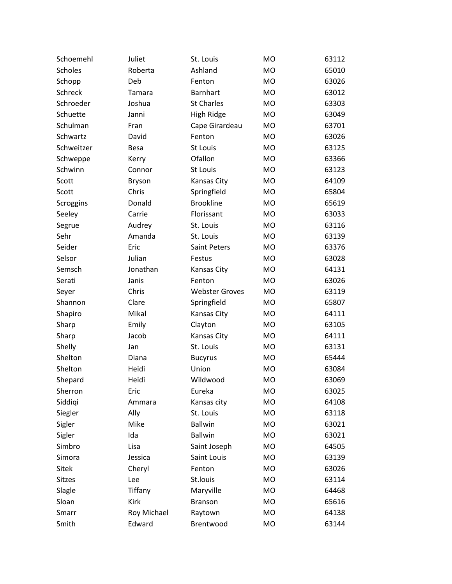| Schoemehl      | Juliet        | St. Louis             | <b>MO</b> | 63112 |
|----------------|---------------|-----------------------|-----------|-------|
| <b>Scholes</b> | Roberta       | Ashland               | <b>MO</b> | 65010 |
| Schopp         | Deb           | Fenton                | <b>MO</b> | 63026 |
| Schreck        | Tamara        | <b>Barnhart</b>       | <b>MO</b> | 63012 |
| Schroeder      | Joshua        | <b>St Charles</b>     | <b>MO</b> | 63303 |
| Schuette       | Janni         | High Ridge            | <b>MO</b> | 63049 |
| Schulman       | Fran          | Cape Girardeau        | <b>MO</b> | 63701 |
| Schwartz       | David         | Fenton                | <b>MO</b> | 63026 |
| Schweitzer     | <b>Besa</b>   | St Louis              | <b>MO</b> | 63125 |
| Schweppe       | Kerry         | Ofallon               | <b>MO</b> | 63366 |
| Schwinn        | Connor        | St Louis              | <b>MO</b> | 63123 |
| Scott          | <b>Bryson</b> | Kansas City           | <b>MO</b> | 64109 |
| Scott          | Chris         | Springfield           | <b>MO</b> | 65804 |
| Scroggins      | Donald        | <b>Brookline</b>      | <b>MO</b> | 65619 |
| Seeley         | Carrie        | Florissant            | <b>MO</b> | 63033 |
| Segrue         | Audrey        | St. Louis             | <b>MO</b> | 63116 |
| Sehr           | Amanda        | St. Louis             | <b>MO</b> | 63139 |
| Seider         | Eric          | <b>Saint Peters</b>   | <b>MO</b> | 63376 |
| Selsor         | Julian        | Festus                | <b>MO</b> | 63028 |
| Semsch         | Jonathan      | Kansas City           | <b>MO</b> | 64131 |
| Serati         | Janis         | Fenton                | <b>MO</b> | 63026 |
| Seyer          | Chris         | <b>Webster Groves</b> | <b>MO</b> | 63119 |
| Shannon        | Clare         | Springfield           | <b>MO</b> | 65807 |
| Shapiro        | Mikal         | Kansas City           | <b>MO</b> | 64111 |
| Sharp          | Emily         | Clayton               | <b>MO</b> | 63105 |
| Sharp          | Jacob         | Kansas City           | <b>MO</b> | 64111 |
| Shelly         | Jan           | St. Louis             | <b>MO</b> | 63131 |
| Shelton        | Diana         | <b>Bucyrus</b>        | <b>MO</b> | 65444 |
| Shelton        | Heidi         | Union                 | <b>MO</b> | 63084 |
| Shepard        | Heidi         | Wildwood              | <b>MO</b> | 63069 |
| Sherron        | Eric          | Eureka                | <b>MO</b> | 63025 |
| Siddiqi        | Ammara        | Kansas city           | MO        | 64108 |
| Siegler        | Ally          | St. Louis             | <b>MO</b> | 63118 |
| Sigler         | Mike          | <b>Ballwin</b>        | <b>MO</b> | 63021 |
| Sigler         | Ida           | <b>Ballwin</b>        | MO        | 63021 |
| Simbro         | Lisa          | Saint Joseph          | MO        | 64505 |
| Simora         | Jessica       | Saint Louis           | MO        | 63139 |
| <b>Sitek</b>   | Cheryl        | Fenton                | <b>MO</b> | 63026 |
| <b>Sitzes</b>  | Lee           | St.louis              | MO        | 63114 |
| Slagle         | Tiffany       | Maryville             | MO        | 64468 |
| Sloan          | Kirk          | Branson               | MO        | 65616 |
| Smarr          | Roy Michael   | Raytown               | <b>MO</b> | 64138 |
| Smith          | Edward        | Brentwood             | MO        | 63144 |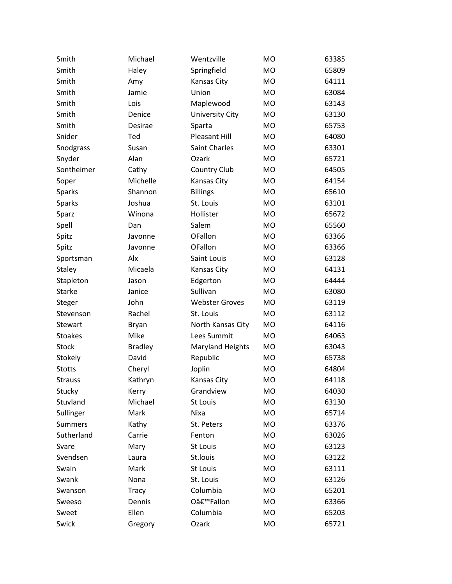| Smith          | Michael        | Wentzville              | <b>MO</b> | 63385 |
|----------------|----------------|-------------------------|-----------|-------|
| Smith          | Haley          | Springfield             | <b>MO</b> | 65809 |
| Smith          | Amy            | Kansas City             | <b>MO</b> | 64111 |
| Smith          | Jamie          | Union                   | <b>MO</b> | 63084 |
| Smith          | Lois           | Maplewood               | <b>MO</b> | 63143 |
| Smith          | Denice         | <b>University City</b>  | <b>MO</b> | 63130 |
| Smith          | Desirae        | Sparta                  | <b>MO</b> | 65753 |
| Snider         | Ted            | <b>Pleasant Hill</b>    | <b>MO</b> | 64080 |
| Snodgrass      | Susan          | Saint Charles           | <b>MO</b> | 63301 |
| Snyder         | Alan           | Ozark                   | <b>MO</b> | 65721 |
| Sontheimer     | Cathy          | Country Club            | <b>MO</b> | 64505 |
| Soper          | Michelle       | Kansas City             | <b>MO</b> | 64154 |
| Sparks         | Shannon        | <b>Billings</b>         | <b>MO</b> | 65610 |
| <b>Sparks</b>  | Joshua         | St. Louis               | <b>MO</b> | 63101 |
| Sparz          | Winona         | Hollister               | <b>MO</b> | 65672 |
| Spell          | Dan            | Salem                   | <b>MO</b> | 65560 |
| Spitz          | Javonne        | <b>OFallon</b>          | <b>MO</b> | 63366 |
| Spitz          | Javonne        | OFallon                 | <b>MO</b> | 63366 |
| Sportsman      | Alx            | Saint Louis             | <b>MO</b> | 63128 |
| Staley         | Micaela        | Kansas City             | <b>MO</b> | 64131 |
| Stapleton      | Jason          | Edgerton                | <b>MO</b> | 64444 |
| Starke         | Janice         | Sullivan                | <b>MO</b> | 63080 |
| Steger         | John           | <b>Webster Groves</b>   | <b>MO</b> | 63119 |
| Stevenson      | Rachel         | St. Louis               | <b>MO</b> | 63112 |
| Stewart        | Bryan          | North Kansas City       | <b>MO</b> | 64116 |
| <b>Stoakes</b> | Mike           | Lees Summit             | <b>MO</b> | 64063 |
| Stock          | <b>Bradley</b> | <b>Maryland Heights</b> | <b>MO</b> | 63043 |
| Stokely        | David          | Republic                | <b>MO</b> | 65738 |
| <b>Stotts</b>  | Cheryl         | Joplin                  | <b>MO</b> | 64804 |
| <b>Strauss</b> | Kathryn        | Kansas City             | <b>MO</b> | 64118 |
| Stucky         | Kerry          | Grandview               | MO        | 64030 |
| Stuvland       | Michael        | St Louis                | MO        | 63130 |
| Sullinger      | Mark           | Nixa                    | <b>MO</b> | 65714 |
| <b>Summers</b> | Kathy          | St. Peters              | <b>MO</b> | 63376 |
| Sutherland     | Carrie         | Fenton                  | <b>MO</b> | 63026 |
| Svare          | Mary           | St Louis                | <b>MO</b> | 63123 |
| Svendsen       | Laura          | St.louis                | <b>MO</b> | 63122 |
| Swain          | Mark           | St Louis                | MO        | 63111 |
| Swank          | Nona           | St. Louis               | MO        | 63126 |
| Swanson        | <b>Tracy</b>   | Columbia                | MO        | 65201 |
| Sweeso         | Dennis         | O'Fallon                | MO        | 63366 |
| Sweet          | Ellen          | Columbia                | MO        | 65203 |
| Swick          | Gregory        | Ozark                   | MO        | 65721 |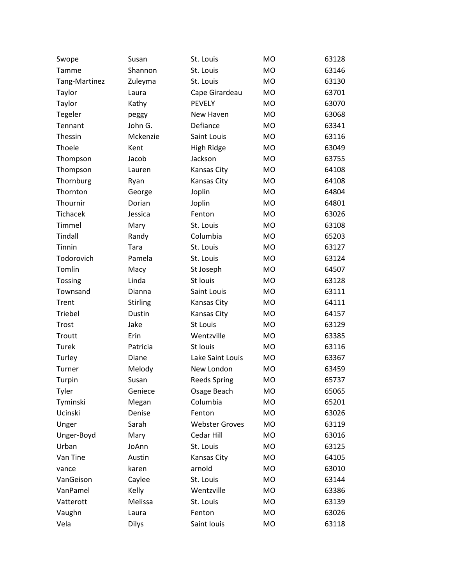| Swope          | Susan           | St. Louis             | M <sub>O</sub> | 63128 |
|----------------|-----------------|-----------------------|----------------|-------|
| Tamme          | Shannon         | St. Louis             | <b>MO</b>      | 63146 |
| Tang-Martinez  | Zuleyma         | St. Louis             | <b>MO</b>      | 63130 |
| Taylor         | Laura           | Cape Girardeau        | <b>MO</b>      | 63701 |
| Taylor         | Kathy           | <b>PEVELY</b>         | <b>MO</b>      | 63070 |
| Tegeler        | peggy           | New Haven             | <b>MO</b>      | 63068 |
| Tennant        | John G.         | Defiance              | <b>MO</b>      | 63341 |
| Thessin        | Mckenzie        | Saint Louis           | <b>MO</b>      | 63116 |
| Thoele         | Kent            | High Ridge            | <b>MO</b>      | 63049 |
| Thompson       | Jacob           | Jackson               | <b>MO</b>      | 63755 |
| Thompson       | Lauren          | Kansas City           | <b>MO</b>      | 64108 |
| Thornburg      | Ryan            | Kansas City           | <b>MO</b>      | 64108 |
| Thornton       | George          | Joplin                | <b>MO</b>      | 64804 |
| Thournir       | Dorian          | Joplin                | <b>MO</b>      | 64801 |
| Tichacek       | Jessica         | Fenton                | <b>MO</b>      | 63026 |
| Timmel         | Mary            | St. Louis             | <b>MO</b>      | 63108 |
| Tindall        | Randy           | Columbia              | <b>MO</b>      | 65203 |
| Tinnin         | Tara            | St. Louis             | <b>MO</b>      | 63127 |
| Todorovich     | Pamela          | St. Louis             | <b>MO</b>      | 63124 |
| Tomlin         | Macy            | St Joseph             | <b>MO</b>      | 64507 |
| <b>Tossing</b> | Linda           | St louis              | <b>MO</b>      | 63128 |
| Townsand       | Dianna          | Saint Louis           | <b>MO</b>      | 63111 |
| Trent          | <b>Stirling</b> | Kansas City           | <b>MO</b>      | 64111 |
| Triebel        | Dustin          | Kansas City           | <b>MO</b>      | 64157 |
| Trost          | Jake            | St Louis              | <b>MO</b>      | 63129 |
| Troutt         | Erin            | Wentzville            | <b>MO</b>      | 63385 |
| Turek          | Patricia        | St louis              | <b>MO</b>      | 63116 |
| Turley         | Diane           | Lake Saint Louis      | <b>MO</b>      | 63367 |
| Turner         | Melody          | New London            | <b>MO</b>      | 63459 |
| Turpin         | Susan           | <b>Reeds Spring</b>   | <b>MO</b>      | 65737 |
| Tyler          | Geniece         | Osage Beach           | <b>MO</b>      | 65065 |
| Tyminski       | Megan           | Columbia              | <b>MO</b>      | 65201 |
| Ucinski        | Denise          | Fenton                | <b>MO</b>      | 63026 |
| Unger          | Sarah           | <b>Webster Groves</b> | <b>MO</b>      | 63119 |
| Unger-Boyd     | Mary            | Cedar Hill            | <b>MO</b>      | 63016 |
| Urban          | JoAnn           | St. Louis             | <b>MO</b>      | 63125 |
| Van Tine       | Austin          | Kansas City           | <b>MO</b>      | 64105 |
| vance          | karen           | arnold                | <b>MO</b>      | 63010 |
| VanGeison      | Caylee          | St. Louis             | MO             | 63144 |
| VanPamel       | Kelly           | Wentzville            | <b>MO</b>      | 63386 |
| Vatterott      | Melissa         | St. Louis             | <b>MO</b>      | 63139 |
| Vaughn         | Laura           | Fenton                | <b>MO</b>      | 63026 |
| Vela           | Dilys           | Saint louis           | MO             | 63118 |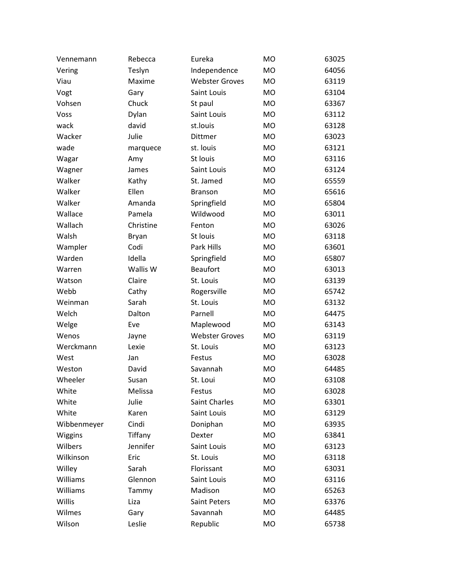| Vennemann      | Rebecca   | Eureka                | <b>MO</b> | 63025 |
|----------------|-----------|-----------------------|-----------|-------|
| Vering         | Teslyn    | Independence          | <b>MO</b> | 64056 |
| Viau           | Maxime    | <b>Webster Groves</b> | <b>MO</b> | 63119 |
| Vogt           | Gary      | Saint Louis           | <b>MO</b> | 63104 |
| Vohsen         | Chuck     | St paul               | <b>MO</b> | 63367 |
| Voss           | Dylan     | Saint Louis           | <b>MO</b> | 63112 |
| wack           | david     | st.louis              | <b>MO</b> | 63128 |
| Wacker         | Julie     | Dittmer               | <b>MO</b> | 63023 |
| wade           | marquece  | st. louis             | <b>MO</b> | 63121 |
| Wagar          | Amy       | St louis              | <b>MO</b> | 63116 |
| Wagner         | James     | Saint Louis           | <b>MO</b> | 63124 |
| Walker         | Kathy     | St. Jamed             | <b>MO</b> | 65559 |
| Walker         | Ellen     | <b>Branson</b>        | <b>MO</b> | 65616 |
| Walker         | Amanda    | Springfield           | <b>MO</b> | 65804 |
| Wallace        | Pamela    | Wildwood              | <b>MO</b> | 63011 |
| Wallach        | Christine | Fenton                | <b>MO</b> | 63026 |
| Walsh          | Bryan     | St louis              | <b>MO</b> | 63118 |
| Wampler        | Codi      | Park Hills            | <b>MO</b> | 63601 |
| Warden         | Idella    | Springfield           | <b>MO</b> | 65807 |
| Warren         | Wallis W  | <b>Beaufort</b>       | <b>MO</b> | 63013 |
| Watson         | Claire    | St. Louis             | <b>MO</b> | 63139 |
| Webb           | Cathy     | Rogersville           | <b>MO</b> | 65742 |
| Weinman        | Sarah     | St. Louis             | <b>MO</b> | 63132 |
| Welch          | Dalton    | Parnell               | <b>MO</b> | 64475 |
| Welge          | Eve       | Maplewood             | <b>MO</b> | 63143 |
| Wenos          | Jayne     | <b>Webster Groves</b> | <b>MO</b> | 63119 |
| Werckmann      | Lexie     | St. Louis             | <b>MO</b> | 63123 |
| West           | Jan       | Festus                | <b>MO</b> | 63028 |
| Weston         | David     | Savannah              | <b>MO</b> | 64485 |
| Wheeler        | Susan     | St. Loui              | <b>MO</b> | 63108 |
| White          | Melissa   | Festus                | MO        | 63028 |
| White          | Julie     | Saint Charles         | <b>MO</b> | 63301 |
| White          | Karen     | Saint Louis           | <b>MO</b> | 63129 |
| Wibbenmeyer    | Cindi     | Doniphan              | <b>MO</b> | 63935 |
| <b>Wiggins</b> | Tiffany   | Dexter                | <b>MO</b> | 63841 |
| Wilbers        | Jennifer  | Saint Louis           | <b>MO</b> | 63123 |
| Wilkinson      | Eric      | St. Louis             | <b>MO</b> | 63118 |
| Willey         | Sarah     | Florissant            | <b>MO</b> | 63031 |
| Williams       | Glennon   | Saint Louis           | <b>MO</b> | 63116 |
| Williams       | Tammy     | Madison               | <b>MO</b> | 65263 |
| Willis         | Liza      | Saint Peters          | <b>MO</b> | 63376 |
| Wilmes         | Gary      | Savannah              | <b>MO</b> | 64485 |
| Wilson         | Leslie    | Republic              | MO        | 65738 |